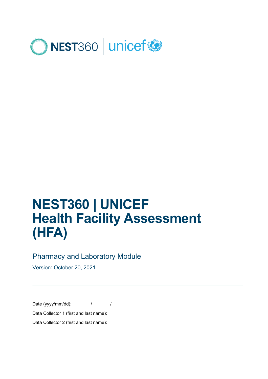

# **NEST360 | UNICEF Health Facility Assessment (HFA)**

### Pharmacy and Laboratory Module

Version: October 20, 2021

Date (yyyy/mm/dd):  $1 / 1$ Data Collector 1 (first and last name): Data Collector 2 (first and last name):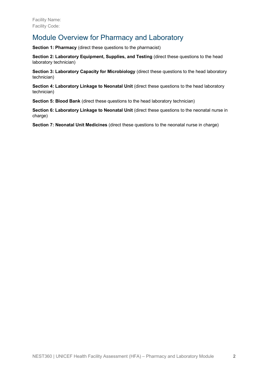### Module Overview for Pharmacy and Laboratory

**Section 1: Pharmacy** (direct these questions to the pharmacist)

**Section 2: Laboratory Equipment, Supplies, and Testing (direct these questions to the head** laboratory technician)

**Section 3: Laboratory Capacity for Microbiology** (direct these questions to the head laboratory technician)

**Section 4: Laboratory Linkage to Neonatal Unit (direct these questions to the head laboratory** technician)

**Section 5: Blood Bank** (direct these questions to the head laboratory technician)

**Section 6: Laboratory Linkage to Neonatal Unit (direct these questions to the neonatal nurse in** charge)

**Section 7: Neonatal Unit Medicines** (direct these questions to the neonatal nurse in charge)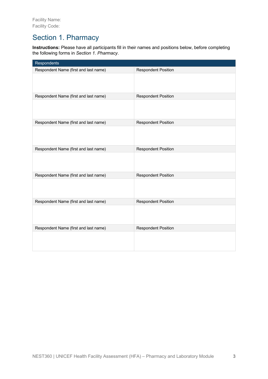### Section 1. Pharmacy

**Instructions:** Please have all participants fill in their names and positions below, before completing the following forms in *Section 1. Pharmacy*.

| Respondents                           |                            |
|---------------------------------------|----------------------------|
| Respondent Name (first and last name) | <b>Respondent Position</b> |
|                                       |                            |
| Respondent Name (first and last name) | <b>Respondent Position</b> |
|                                       |                            |
| Respondent Name (first and last name) | <b>Respondent Position</b> |
|                                       |                            |
| Respondent Name (first and last name) | <b>Respondent Position</b> |
|                                       |                            |
| Respondent Name (first and last name) | <b>Respondent Position</b> |
|                                       |                            |
| Respondent Name (first and last name) | <b>Respondent Position</b> |
|                                       |                            |
| Respondent Name (first and last name) | <b>Respondent Position</b> |
|                                       |                            |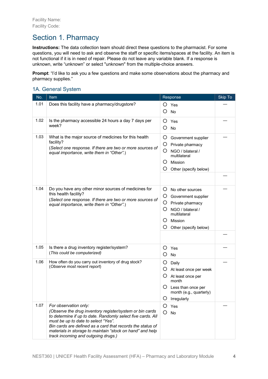# Section 1. Pharmacy

**Instructions:** The data collection team should direct these questions to the pharmacist. For some questions, you will need to ask and observe the staff or specific items/spaces at the facility. An item is not functional if it is in need of repair. Please do not leave any variable blank. If a response is unknown, write "unknown" or select "unknown" from the multiple-choice answers.

**Prompt:** "I'd like to ask you a few questions and make some observations about the pharmacy and pharmacy supplies."

#### 1A. General System

| No.  | Item                                                                                                                                                                                                                                                                                                                                                      | Response                                                                                                                                                                       | Skip To |
|------|-----------------------------------------------------------------------------------------------------------------------------------------------------------------------------------------------------------------------------------------------------------------------------------------------------------------------------------------------------------|--------------------------------------------------------------------------------------------------------------------------------------------------------------------------------|---------|
| 1.01 | Does this facility have a pharmacy/drugstore?                                                                                                                                                                                                                                                                                                             | O<br>Yes<br>O<br>No                                                                                                                                                            |         |
| 1.02 | Is the pharmacy accessible 24 hours a day 7 days per<br>week?                                                                                                                                                                                                                                                                                             | $\circ$<br>Yes<br>O<br>No                                                                                                                                                      |         |
| 1.03 | What is the major source of medicines for this health<br>facility?<br>(Select one response. If there are two or more sources of<br>equal importance, write them in "Other".)                                                                                                                                                                              | Ő<br>Government supplier<br>Ő<br>Private pharmacy<br>Ő<br>NGO / bilateral /<br>multilateral<br>Mission<br>Ő<br>O<br>Other (specify below)                                      |         |
|      |                                                                                                                                                                                                                                                                                                                                                           |                                                                                                                                                                                |         |
| 1.04 | Do you have any other minor sources of medicines for<br>this health facility?<br>(Select one response. If there are two or more sources of<br>equal importance, write them in "Other".)                                                                                                                                                                   | Ő<br>No other sources<br>O<br>Government supplier<br>Ő<br>Private pharmacy<br>Ő<br>NGO / bilateral /<br>multilateral<br>$\mathcal{C}$<br>Mission<br>Ő<br>Other (specify below) |         |
|      |                                                                                                                                                                                                                                                                                                                                                           |                                                                                                                                                                                |         |
| 1.05 | Is there a drug inventory register/system?<br>(This could be computerized)                                                                                                                                                                                                                                                                                | O<br>Yes<br>O<br>No                                                                                                                                                            |         |
| 1.06 | How often do you carry out inventory of drug stock?<br>(Observe most recent report)                                                                                                                                                                                                                                                                       | O<br>Daily<br>Ő<br>At least once per week<br>O<br>At least once per<br>month<br>Ő<br>Less than once per<br>month (e.g., quarterly)<br>O<br>Irregularly                         |         |
| 1.07 | For observation only:<br>(Observe the drug inventory register/system or bin cards<br>to determine if up to date. Randomly select five cards. All<br>must be up to date to select "Yes".<br>Bin cards are defined as a card that records the status of<br>materials in storage to maintain "stock on hand" and help<br>track incoming and outgoing drugs.) | Ő<br>Yes<br>O<br>No                                                                                                                                                            |         |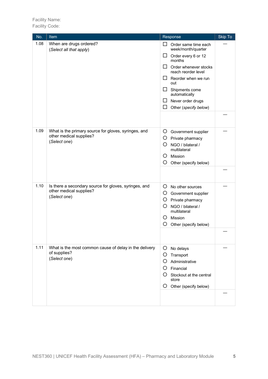| No.  | Item                                                                                             | Response                                                                                                                                                                                                                                                                                            | Skip To |
|------|--------------------------------------------------------------------------------------------------|-----------------------------------------------------------------------------------------------------------------------------------------------------------------------------------------------------------------------------------------------------------------------------------------------------|---------|
| 1.08 | When are drugs ordered?<br>(Select all that apply)                                               | □.<br>Order same time each<br>week/month/quarter<br>$\Box$<br>Order every 6 or 12<br>months<br>$\mathsf{L}$<br>Order whenever stocks<br>reach reorder level<br>Reorder when we run<br>ப<br>out<br>⊔<br>Shipments come<br>automatically<br>Never order drugs<br>ப<br>$\Box$<br>Other (specify below) |         |
| 1.09 | What is the primary source for gloves, syringes, and<br>other medical supplies?<br>(Select one)  | O<br>Government supplier<br>O Private pharmacy<br>O<br>NGO / bilateral /<br>multilateral<br>Ő<br>Mission<br>O<br>Other (specify below)                                                                                                                                                              |         |
| 1.10 | Is there a secondary source for gloves, syringes, and<br>other medical supplies?<br>(Select one) | O<br>No other sources<br>O<br>Government supplier<br>O<br>Private pharmacy<br>O<br>NGO / bilateral /<br>multilateral<br>Ő<br>Mission<br>O<br>Other (specify below)                                                                                                                                  |         |
| 1.11 | What is the most common cause of delay in the delivery<br>of supplies?<br>(Select one)           | $\circ$<br>No delays<br>O<br>Transport<br>Ο<br>Administrative<br>Financial<br>O<br>O<br>Stockout at the central<br>store<br>Other (specify below)<br>Ő                                                                                                                                              |         |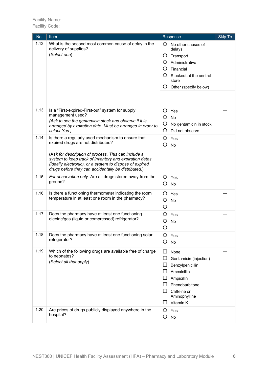| No.  | Item                                                                                                                                                                                                                                                                                                                        | Response                                                                                                                                                                                            | Skip To |
|------|-----------------------------------------------------------------------------------------------------------------------------------------------------------------------------------------------------------------------------------------------------------------------------------------------------------------------------|-----------------------------------------------------------------------------------------------------------------------------------------------------------------------------------------------------|---------|
| 1.12 | What is the second most common cause of delay in the<br>delivery of supplies?<br>(Select one)                                                                                                                                                                                                                               | Ő<br>No other causes of<br>delays<br>Ő<br>Transport<br>Administrative<br>O<br>O<br>Financial<br>Ő<br>Stockout at the central<br>store<br>O<br>Other (specify below)                                 |         |
| 1.13 | Is a "First-expired-First-out" system for supply<br>management used?<br>(Ask to see the gentamicin stock and observe if it is<br>arranged by expiration date. Must be arranged in order to<br>select Yes.)                                                                                                                  | O<br>Yes<br>O<br>No<br>O<br>No gentamicin in stock<br>O<br>Did not observe                                                                                                                          |         |
| 1.14 | Is there a regularly used mechanism to ensure that<br>expired drugs are not distributed?<br>(Ask for description of process. This can include a<br>system to keep track of inventory and expiration dates<br>(ideally electronic), or a system to dispose of expired<br>drugs before they can accidentally be distributed.) | Ő<br>Yes<br>O<br>No                                                                                                                                                                                 |         |
| 1.15 | For observation only: Are all drugs stored away from the<br>ground?                                                                                                                                                                                                                                                         | O<br>Yes<br>O<br><b>No</b>                                                                                                                                                                          |         |
| 1.16 | Is there a functioning thermometer indicating the room<br>temperature in at least one room in the pharmacy?                                                                                                                                                                                                                 | Ő<br>Yes<br>O<br>No<br>O                                                                                                                                                                            |         |
| 1.17 | Does the pharmacy have at least one functioning<br>electric/gas (liquid or compressed) refrigerator?                                                                                                                                                                                                                        | Ο<br>Yes<br>O<br>No<br>О                                                                                                                                                                            |         |
| 1.18 | Does the pharmacy have at least one functioning solar<br>refrigerator?                                                                                                                                                                                                                                                      | Ő<br>Yes<br>O<br>No                                                                                                                                                                                 |         |
| 1.19 | Which of the following drugs are available free of charge<br>to neonates?<br>(Select all that apply)                                                                                                                                                                                                                        | □<br>None<br>□<br>Gentamicin (injection)<br>$\Box$<br>Benzylpenicillin<br>ப<br>Amoxicillin<br>$\Box$<br>Ampicillin<br>⊔<br>Phenobarbitone<br>LI.<br>Caffeine or<br>Aminophylline<br>Vitamin K<br>ΙI |         |
| 1.20 | Are prices of drugs publicly displayed anywhere in the<br>hospital?                                                                                                                                                                                                                                                         | O<br>Yes<br>O<br>No                                                                                                                                                                                 |         |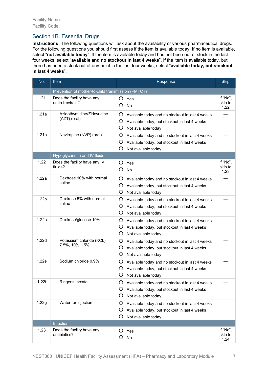#### Section 1B. Essential Drugs

**Instructions:** The following questions will ask about the availability of various pharmaceutical drugs. For the following questions you should first assess if the item is available today. If no item is available, select "**not available today**". If the item is available today and has not been out of stock in the last four weeks, select "**available and no stockout in last 4 weeks**". If the item is available today, but there has been a stock out at any point in the last four weeks, select "**available today, but stockout in last 4 weeks**".

| No.               | Item                                               | Response                                                                                                                                     |                             |
|-------------------|----------------------------------------------------|----------------------------------------------------------------------------------------------------------------------------------------------|-----------------------------|
|                   | Prevention of mother-to-child transmission (PMTCT) |                                                                                                                                              |                             |
| 1.21              | Does the facility have any<br>antiretrovirals?     | O<br>Yes<br>O<br>No                                                                                                                          | If "No",<br>skip to<br>1.22 |
| 1.21a             | Azidothymidine/Zidovudine<br>(AZT) (oral)          | O<br>Available today and no stockout in last 4 weeks<br>O<br>Available today, but stockout in last 4 weeks<br>O<br>Not available today       |                             |
| 1.21 <sub>b</sub> | Nevirapine (NVP) (oral)                            | O<br>Available today and no stockout in last 4 weeks<br>O<br>Available today, but stockout in last 4 weeks<br>O<br>Not available today       |                             |
|                   | Hypoglycaemia and IV fluids                        |                                                                                                                                              |                             |
| 1.22              | Does the facility have any IV<br>fluids?           | O<br>Yes<br>O<br>No                                                                                                                          | If "No",<br>skip to<br>1.23 |
| 1.22a             | Dextrose 10% with normal<br>saline                 | O<br>Available today and no stockout in last 4 weeks<br>O<br>Available today, but stockout in last 4 weeks<br>O<br>Not available today       |                             |
| 1.22 <sub>b</sub> | Dextrose 5% with normal<br>saline                  | O<br>Available today and no stockout in last 4 weeks<br>O<br>Available today, but stockout in last 4 weeks<br>O<br>Not available today       |                             |
| 1.22c             | Dextrose/glucose 10%                               | O<br>Available today and no stockout in last 4 weeks<br>$\circ$<br>Available today, but stockout in last 4 weeks<br>O<br>Not available today |                             |
| 1.22d             | Potassium chloride (KCL)<br>7.5%, 10%, 15%         | O<br>Available today and no stockout in last 4 weeks<br>O<br>Available today, but stockout in last 4 weeks<br>O<br>Not available today       |                             |
| 1.22e             | Sodium chloride 0.9%                               | O<br>Available today and no stockout in last 4 weeks<br>O<br>Available today, but stockout in last 4 weeks<br>O<br>Not available today       |                             |
| 1.22f             | Ringer's lactate                                   | Ő<br>Available today and no stockout in last 4 weeks<br>O<br>Available today, but stockout in last 4 weeks<br>O<br>Not available today       |                             |
| 1.22g             | Water for injection                                | O<br>Available today and no stockout in last 4 weeks<br>O<br>Available today, but stockout in last 4 weeks<br>O<br>Not available today       |                             |
|                   | Infection                                          |                                                                                                                                              |                             |
| 1.23              | Does the facility have any<br>antibiotics?         | O<br>Yes<br>O<br>No                                                                                                                          | If "No",<br>skip to<br>1.24 |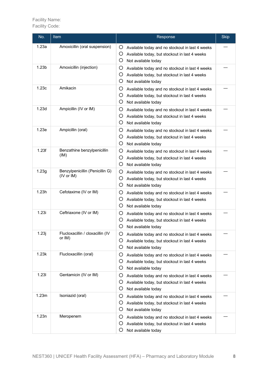| No.               | Item                                          | Response                                                                                                                                     |  |
|-------------------|-----------------------------------------------|----------------------------------------------------------------------------------------------------------------------------------------------|--|
| 1.23a             | Amoxicillin (oral suspension)                 | O<br>Available today and no stockout in last 4 weeks<br>O<br>Available today, but stockout in last 4 weeks<br>O<br>Not available today       |  |
| 1.23 <sub>b</sub> | Amoxicillin (injection)                       | O<br>Available today and no stockout in last 4 weeks<br>O<br>Available today, but stockout in last 4 weeks<br>O<br>Not available today       |  |
| 1.23c             | Amikacin                                      | O<br>Available today and no stockout in last 4 weeks<br>O<br>Available today, but stockout in last 4 weeks<br>O<br>Not available today       |  |
| 1.23d             | Ampicillin (IV or IM)                         | O<br>Available today and no stockout in last 4 weeks<br>O<br>Available today, but stockout in last 4 weeks<br>O<br>Not available today       |  |
| 1.23e             | Ampicillin (oral)                             | O<br>Available today and no stockout in last 4 weeks<br>O<br>Available today, but stockout in last 4 weeks<br>O<br>Not available today       |  |
| 1.23f             | Benzathine benzylpenicillin<br>(IM)           | O<br>Available today and no stockout in last 4 weeks<br>O<br>Available today, but stockout in last 4 weeks<br>O<br>Not available today       |  |
| 1.23g             | Benzylpenicillin (Penicillin G)<br>(IV or IM) | O<br>Available today and no stockout in last 4 weeks<br>O<br>Available today, but stockout in last 4 weeks<br>O<br>Not available today       |  |
| 1.23h             | Cefotaxime (IV or IM)                         | O<br>Available today and no stockout in last 4 weeks<br>O<br>Available today, but stockout in last 4 weeks<br>O<br>Not available today       |  |
| 1.23i             | Ceftriaxone (IV or IM)                        | O<br>Available today and no stockout in last 4 weeks<br>O<br>Available today, but stockout in last 4 weeks<br>O<br>Not available today       |  |
| 1.23j             | Flucloxacillin / cloxacillin (IV<br>or IM)    | O<br>Available today and no stockout in last 4 weeks<br>O<br>Available today, but stockout in last 4 weeks<br>O<br>Not available today       |  |
| 1.23k             | Flucloxacillin (oral)                         | O<br>Available today and no stockout in last 4 weeks<br>$\circ$<br>Available today, but stockout in last 4 weeks<br>O<br>Not available today |  |
| 1.23I             | Gentamicin (IV or IM)                         | O<br>Available today and no stockout in last 4 weeks<br>O<br>Available today, but stockout in last 4 weeks<br>O<br>Not available today       |  |
| 1.23m             | Isoniazid (oral)                              | O<br>Available today and no stockout in last 4 weeks<br>O<br>Available today, but stockout in last 4 weeks<br>O<br>Not available today       |  |
| 1.23n             | Meropenem                                     | O<br>Available today and no stockout in last 4 weeks<br>O<br>Available today, but stockout in last 4 weeks<br>O<br>Not available today       |  |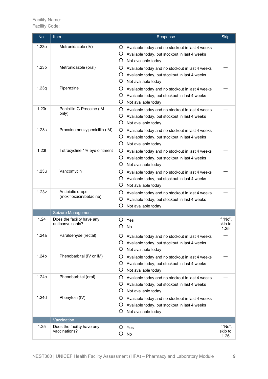| No.               | Item                                           | Response                                                                                                                               | <b>Skip</b>                 |
|-------------------|------------------------------------------------|----------------------------------------------------------------------------------------------------------------------------------------|-----------------------------|
| 1.23 <sub>o</sub> | Metronidazole (IV)                             | O<br>Available today and no stockout in last 4 weeks<br>O<br>Available today, but stockout in last 4 weeks<br>O<br>Not available today |                             |
| 1.23p             | Metronidazole (oral)                           | O<br>Available today and no stockout in last 4 weeks<br>O<br>Available today, but stockout in last 4 weeks<br>O<br>Not available today |                             |
| 1.23q             | Piperazine                                     | O<br>Available today and no stockout in last 4 weeks<br>O<br>Available today, but stockout in last 4 weeks<br>O<br>Not available today |                             |
| 1.23r             | Penicillin G Procaine (IM<br>only)             | O<br>Available today and no stockout in last 4 weeks<br>O<br>Available today, but stockout in last 4 weeks<br>O<br>Not available today |                             |
| 1.23s             | Procaine benzylpenicillin (IM)                 | O<br>Available today and no stockout in last 4 weeks<br>O<br>Available today, but stockout in last 4 weeks<br>O<br>Not available today |                             |
| 1.23t             | Tetracycline 1% eye ointment                   | O<br>Available today and no stockout in last 4 weeks<br>O<br>Available today, but stockout in last 4 weeks<br>O<br>Not available today |                             |
| 1.23u             | Vancomycin                                     | O<br>Available today and no stockout in last 4 weeks<br>O<br>Available today, but stockout in last 4 weeks<br>O<br>Not available today |                             |
| 1.23v             | Antibiotic drops<br>(moxifloxacin/betadine)    | O<br>Available today and no stockout in last 4 weeks<br>O<br>Available today, but stockout in last 4 weeks<br>O<br>Not available today |                             |
|                   | Seizure Management                             |                                                                                                                                        |                             |
| 1.24              | Does the facility have any<br>anticonvulsants? | Yes<br>O<br>O<br>No                                                                                                                    | If "No",<br>skip to<br>1.25 |
| 1.24a             | Paraldehyde (rectal)                           | Ő<br>Available today and no stockout in last 4 weeks<br>O<br>Available today, but stockout in last 4 weeks<br>O<br>Not available today |                             |
| 1.24 <sub>b</sub> | Phenobarbital (IV or IM)                       | O<br>Available today and no stockout in last 4 weeks<br>O<br>Available today, but stockout in last 4 weeks<br>O<br>Not available today |                             |
| 1.24c             | Phenobarbital (oral)                           | O<br>Available today and no stockout in last 4 weeks<br>O<br>Available today, but stockout in last 4 weeks<br>O<br>Not available today |                             |
| 1.24d             | Phenytoin (IV)                                 | O<br>Available today and no stockout in last 4 weeks<br>O<br>Available today, but stockout in last 4 weeks<br>O<br>Not available today |                             |
|                   | Vaccination                                    |                                                                                                                                        |                             |
| 1.25              | Does the facility have any<br>vaccinations?    | O<br>Yes<br>O<br>No                                                                                                                    | If "No",<br>skip to<br>1.26 |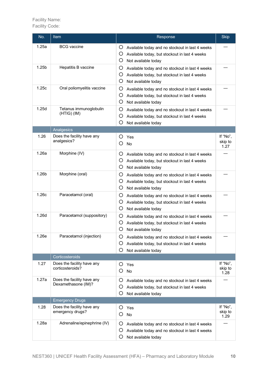| No.               | <b>Item</b>                                       | Response                                                                                                                                                           |                             |
|-------------------|---------------------------------------------------|--------------------------------------------------------------------------------------------------------------------------------------------------------------------|-----------------------------|
| 1.25a             | <b>BCG</b> vaccine                                | O<br>Available today and no stockout in last 4 weeks<br>O<br>Available today, but stockout in last 4 weeks                                                         |                             |
| 1.25 <sub>b</sub> | Hepatitis B vaccine                               | O<br>Not available today<br>O<br>Available today and no stockout in last 4 weeks<br>O<br>Available today, but stockout in last 4 weeks                             |                             |
| 1.25c             | Oral poliomyelitis vaccine                        | O<br>Not available today<br>O<br>Available today and no stockout in last 4 weeks<br>O<br>Available today, but stockout in last 4 weeks                             |                             |
| 1.25d             | Tetanus immunoglobulin<br>$(HTIG)$ $(IM)$         | O<br>Not available today<br>O<br>Available today and no stockout in last 4 weeks<br>O<br>Available today, but stockout in last 4 weeks<br>O<br>Not available today |                             |
|                   | Analgesics                                        |                                                                                                                                                                    |                             |
| 1.26              | Does the facility have any<br>analgesics?         | O<br>Yes<br>O<br>No                                                                                                                                                | If "No",<br>skip to<br>1.27 |
| 1.26a             | Morphine (IV)                                     | Ő<br>Available today and no stockout in last 4 weeks<br>O<br>Available today, but stockout in last 4 weeks<br>O<br>Not available today                             |                             |
| 1.26 <sub>b</sub> | Morphine (oral)                                   | O<br>Available today and no stockout in last 4 weeks<br>O<br>Available today, but stockout in last 4 weeks<br>O<br>Not available today                             |                             |
| 1.26c             | Paracetamol (oral)                                | O<br>Available today and no stockout in last 4 weeks<br>O<br>Available today, but stockout in last 4 weeks<br>O<br>Not available today                             |                             |
| 1.26d             | Paracetamol (suppository)                         | O<br>Available today and no stockout in last 4 weeks<br>O<br>Available today, but stockout in last 4 weeks<br>O<br>Not available today                             |                             |
| 1.26e             | Paracetamol (injection)                           | Ő<br>Available today and no stockout in last 4 weeks<br>O<br>Available today, but stockout in last 4 weeks<br>O<br>Not available today                             |                             |
|                   | Corticosteroids                                   |                                                                                                                                                                    |                             |
| 1.27              | Does the facility have any<br>corticosteroids?    | O<br>Yes<br>O<br><b>No</b>                                                                                                                                         | If "No",<br>skip to<br>1.28 |
| 1.27a             | Does the facility have any<br>Dexamethasone (IM)? | O<br>Available today and no stockout in last 4 weeks<br>O<br>Available today, but stockout in last 4 weeks<br>O<br>Not available today                             |                             |
|                   | <b>Emergency Drugs</b>                            |                                                                                                                                                                    |                             |
| 1.28              | Does the facility have any<br>emergency drugs?    | O<br>Yes<br>O<br>No                                                                                                                                                | If "No",<br>skip to<br>1.29 |
| 1.28a             | Adrenaline/epinephrine (IV)                       | O<br>Available today and no stockout in last 4 weeks<br>O<br>Available today and no stockout in last 4 weeks<br>O<br>Not available today                           |                             |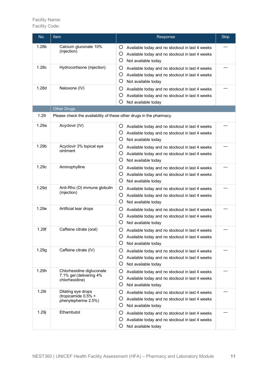| No.               | <b>Item</b>                                                            | Response                                                                                                                                 | <b>Skip</b> |
|-------------------|------------------------------------------------------------------------|------------------------------------------------------------------------------------------------------------------------------------------|-------------|
| 1.28b             | Calcium gluconate 10%<br>(injection)                                   | O<br>Available today and no stockout in last 4 weeks<br>O<br>Available today and no stockout in last 4 weeks<br>O<br>Not available today |             |
| 1.28c             | Hydrocortisone (injection)                                             | O<br>Available today and no stockout in last 4 weeks<br>O<br>Available today and no stockout in last 4 weeks<br>O<br>Not available today |             |
| 1.28d             | Naloxone (IV)                                                          | O<br>Available today and no stockout in last 4 weeks<br>O<br>Available today and no stockout in last 4 weeks<br>O<br>Not available today |             |
|                   | <b>Other Drugs</b>                                                     |                                                                                                                                          |             |
| 1.29              | Please check the availability of these other drugs in the pharmacy.    |                                                                                                                                          |             |
| 1.29a             | Acyclovir (IV)                                                         | Ő<br>Available today and no stockout in last 4 weeks<br>O<br>Available today and no stockout in last 4 weeks<br>O<br>Not available today |             |
| 1.29 <sub>b</sub> | Acyclovir 3% topical eye<br>ointment                                   | O<br>Available today and no stockout in last 4 weeks<br>O<br>Available today and no stockout in last 4 weeks<br>O<br>Not available today |             |
| 1.29c             | Aminophylline                                                          | O<br>Available today and no stockout in last 4 weeks<br>O<br>Available today and no stockout in last 4 weeks<br>O<br>Not available today |             |
| 1.29d             | Anti-Rho (D) immune globulin<br>(injection)                            | O<br>Available today and no stockout in last 4 weeks<br>O<br>Available today and no stockout in last 4 weeks<br>O<br>Not available today |             |
| 1.29e             | Artificial tear drops                                                  | O<br>Available today and no stockout in last 4 weeks<br>O<br>Available today and no stockout in last 4 weeks<br>O<br>Not available today |             |
| 1.29f             | Caffeine citrate (oral)                                                | O<br>Available today and no stockout in last 4 weeks<br>O<br>Available today and no stockout in last 4 weeks<br>O<br>Not available today |             |
| 1.29g             | Caffeine citrate (IV)                                                  | O<br>Available today and no stockout in last 4 weeks<br>O<br>Available today and no stockout in last 4 weeks<br>O<br>Not available today |             |
| 1.29h             | Chlorhexidine digluconate<br>7.1% gel (delivering 4%<br>chlorhexidine) | O<br>Available today and no stockout in last 4 weeks<br>O<br>Available today and no stockout in last 4 weeks<br>O<br>Not available today |             |
| 1.29i             | Dilating eye drops<br>(tropicamide 0.5% +<br>phenylepherine 2.5%)      | O<br>Available today and no stockout in last 4 weeks<br>O<br>Available today and no stockout in last 4 weeks<br>O<br>Not available today |             |
| 1.29j             | Ethambutol                                                             | O<br>Available today and no stockout in last 4 weeks<br>O<br>Available today and no stockout in last 4 weeks<br>O<br>Not available today |             |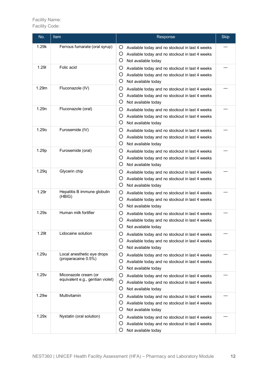| No.   | Item                                                     | Response                                                                                                                                 | <b>Skip</b> |
|-------|----------------------------------------------------------|------------------------------------------------------------------------------------------------------------------------------------------|-------------|
| 1.29k | Ferrous fumarate (oral syrup)                            | Ő<br>Available today and no stockout in last 4 weeks<br>O<br>Available today and no stockout in last 4 weeks<br>O<br>Not available today |             |
| 1.29  | Folic acid                                               | O<br>Available today and no stockout in last 4 weeks<br>O<br>Available today and no stockout in last 4 weeks<br>O<br>Not available today |             |
| 1.29m | Fluconazole (IV)                                         | O<br>Available today and no stockout in last 4 weeks<br>O<br>Available today and no stockout in last 4 weeks<br>O<br>Not available today |             |
| 1.29n | Fluconazole (oral)                                       | O<br>Available today and no stockout in last 4 weeks<br>O<br>Available today and no stockout in last 4 weeks<br>O<br>Not available today |             |
| 1.290 | Furosemide (IV)                                          | O<br>Available today and no stockout in last 4 weeks<br>O<br>Available today and no stockout in last 4 weeks<br>O<br>Not available today |             |
| 1.29p | Furosemide (oral)                                        | O<br>Available today and no stockout in last 4 weeks<br>O<br>Available today and no stockout in last 4 weeks<br>O<br>Not available today |             |
| 1.29q | Glycerin chip                                            | O<br>Available today and no stockout in last 4 weeks<br>O<br>Available today and no stockout in last 4 weeks<br>O<br>Not available today |             |
| 1.29r | Hepatitis B immune globulin<br>(HBIG)                    | O<br>Available today and no stockout in last 4 weeks<br>O<br>Available today and no stockout in last 4 weeks<br>O<br>Not available today |             |
| 1.29s | Human milk fortifier                                     | O<br>Available today and no stockout in last 4 weeks<br>O<br>Available today and no stockout in last 4 weeks<br>O<br>Not available today |             |
| 1.29t | Lidocaine solution                                       | O<br>Available today and no stockout in last 4 weeks<br>Ő<br>Available today and no stockout in last 4 weeks<br>O<br>Not available today |             |
| 1.29u | Local anesthetic eye drops<br>(proparacaine 0.5%)        | O<br>Available today and no stockout in last 4 weeks<br>O<br>Available today and no stockout in last 4 weeks<br>O<br>Not available today |             |
| 1.29v | Miconazole cream (or<br>equivalent e.g., gentian violet) | O<br>Available today and no stockout in last 4 weeks<br>O<br>Available today and no stockout in last 4 weeks<br>O<br>Not available today |             |
| 1.29w | Multivitamin                                             | O<br>Available today and no stockout in last 4 weeks<br>O<br>Available today and no stockout in last 4 weeks<br>O<br>Not available today |             |
| 1.29x | Nystatin (oral solution)                                 | O<br>Available today and no stockout in last 4 weeks<br>O<br>Available today and no stockout in last 4 weeks<br>O<br>Not available today |             |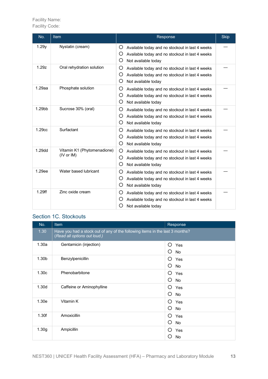Facility Code:

| No.       | <b>Item</b>                               | Response                                                                                                                                 | <b>Skip</b> |
|-----------|-------------------------------------------|------------------------------------------------------------------------------------------------------------------------------------------|-------------|
| 1.29y     | Nystatin (cream)                          | O<br>Available today and no stockout in last 4 weeks<br>O<br>Available today and no stockout in last 4 weeks<br>O<br>Not available today |             |
| 1.29z     | Oral rehydration solution                 | O<br>Available today and no stockout in last 4 weeks<br>O<br>Available today and no stockout in last 4 weeks<br>O<br>Not available today |             |
| $1.29$ aa | Phosphate solution                        | O<br>Available today and no stockout in last 4 weeks<br>O<br>Available today and no stockout in last 4 weeks<br>O<br>Not available today |             |
| 1.29bb    | Sucrose 30% (oral)                        | O<br>Available today and no stockout in last 4 weeks<br>O<br>Available today and no stockout in last 4 weeks<br>O<br>Not available today |             |
| 1.29cc    | Surfactant                                | O<br>Available today and no stockout in last 4 weeks<br>O<br>Available today and no stockout in last 4 weeks<br>O<br>Not available today |             |
| 1.29dd    | Vitamin K1 (Phytomenadione)<br>(IV or IM) | O<br>Available today and no stockout in last 4 weeks<br>O<br>Available today and no stockout in last 4 weeks<br>O<br>Not available today |             |
| 1.29ee    | Water based lubricant                     | O<br>Available today and no stockout in last 4 weeks<br>O<br>Available today and no stockout in last 4 weeks<br>O<br>Not available today |             |
| 1.29ff    | Zinc oxide cream                          | O<br>Available today and no stockout in last 4 weeks<br>O<br>Available today and no stockout in last 4 weeks<br>O<br>Not available today |             |

### Section 1C. Stockouts

| No.               | Item                                                                                                         | Response            |
|-------------------|--------------------------------------------------------------------------------------------------------------|---------------------|
| 1.30              | Have you had a stock out of any of the following items in the last 3 months?<br>(Read all options out loud.) |                     |
| 1.30a             | Gentamicin (injection)                                                                                       | ∩<br>Yes<br>O<br>No |
| 1.30 <sub>b</sub> | Benzylpenicillin                                                                                             | O<br>Yes<br>O<br>No |
| 1.30c             | Phenobarbitone                                                                                               | O<br>Yes<br>O<br>No |
| 1.30d             | Caffeine or Aminophylline                                                                                    | O<br>Yes<br>O<br>No |
| 1.30e             | Vitamin K                                                                                                    | O<br>Yes<br>O<br>No |
| 1.30f             | Amoxicillin                                                                                                  | O<br>Yes<br>Ω<br>No |
| 1.30 <sub>g</sub> | Ampicillin                                                                                                   | ∩<br>Yes<br>O<br>No |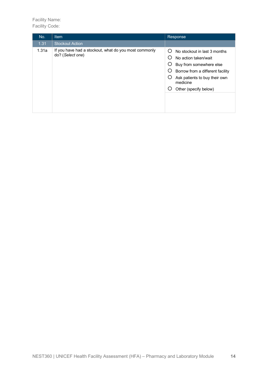| No.   | <b>Item</b>                                                               | Response                                                                                                                                                                                                                                              |
|-------|---------------------------------------------------------------------------|-------------------------------------------------------------------------------------------------------------------------------------------------------------------------------------------------------------------------------------------------------|
| 1.31  | <b>Stockout Action</b>                                                    |                                                                                                                                                                                                                                                       |
| 1.31a | If you have had a stockout, what do you most commonly<br>do? (Select one) | $\left( \right)$<br>No stockout in last 3 months<br>No action taken/wait<br>$\left( \right)$<br>Ő<br>Buy from somewhere else<br>Ő<br>Borrow from a different facility<br>Ő<br>Ask patients to buy their own<br>medicine<br>Ő<br>Other (specify below) |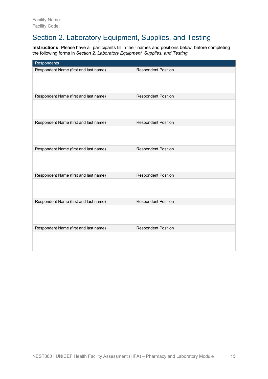# Section 2. Laboratory Equipment, Supplies, and Testing

**Instructions:** Please have all participants fill in their names and positions below, before completing the following forms in *Section 2. Laboratory Equipment, Supplies, and Testing*.

| Respondents                           |                            |
|---------------------------------------|----------------------------|
| Respondent Name (first and last name) | <b>Respondent Position</b> |
|                                       |                            |
| Respondent Name (first and last name) | <b>Respondent Position</b> |
|                                       |                            |
| Respondent Name (first and last name) | <b>Respondent Position</b> |
|                                       |                            |
| Respondent Name (first and last name) | <b>Respondent Position</b> |
|                                       |                            |
| Respondent Name (first and last name) | <b>Respondent Position</b> |
|                                       |                            |
| Respondent Name (first and last name) | <b>Respondent Position</b> |
|                                       |                            |
| Respondent Name (first and last name) | <b>Respondent Position</b> |
|                                       |                            |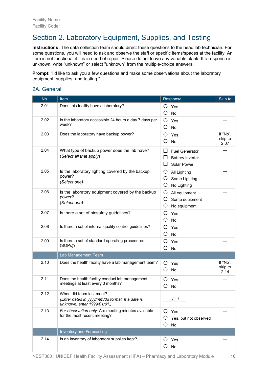# Section 2. Laboratory Equipment, Supplies, and Testing

**Instructions:** The data collection team should direct these questions to the head lab technician. For some questions, you will need to ask and observe the staff or specific items/spaces at the facility. An item is not functional if it is in need of repair. Please do not leave any variable blank. If a response is unknown, write "unknown" or select "unknown" from the multiple-choice answers.

**Prompt:** "I'd like to ask you a few questions and make some observations about the laboratory equipment, supplies, and testing."

#### 2A. General

| No.  | <b>Item</b>                                                                                                | Response                                                                         | Skip to                     |
|------|------------------------------------------------------------------------------------------------------------|----------------------------------------------------------------------------------|-----------------------------|
| 2.01 | Does this facility have a laboratory?                                                                      | O<br>Yes<br>O<br>No                                                              |                             |
| 2.02 | Is the laboratory accessible 24 hours a day 7 days per<br>week?                                            | O<br>Yes<br>O<br>No                                                              |                             |
| 2.03 | Does the laboratory have backup power?                                                                     | O<br>Yes<br>O<br>No                                                              | If "No",<br>skip to<br>2.07 |
| 2.04 | What type of backup power does the lab have?<br>(Select all that apply)                                    | <b>Fuel Generator</b><br>⊔<br>ப<br><b>Battery Inverter</b><br><b>Solar Power</b> |                             |
| 2.05 | Is the laboratory lighting covered by the backup<br>power?<br>(Select one)                                 | O<br>All Lighting<br>O<br>Some Lighting<br>O<br>No Lighting                      |                             |
| 2.06 | Is the laboratory equipment covered by the backup<br>power?<br>(Select one)                                | Ő<br>All equipment<br>Some equipment<br>Ő<br>O<br>No equipment                   |                             |
| 2.07 | Is there a set of biosafety guidelines?                                                                    | O<br>Yes<br>O<br>No                                                              |                             |
| 2.08 | Is there a set of internal quality control guidelines?                                                     | Ő<br>Yes<br>O<br><b>No</b>                                                       |                             |
| 2.09 | Is there a set of standard operating procedures<br>(SOPs)?                                                 | O<br>Yes<br>O<br>No                                                              |                             |
|      | Lab Management Team                                                                                        |                                                                                  |                             |
| 2.10 | Does the health facility have a lab management team?                                                       | Ő<br>Yes<br>O<br>No                                                              | If "No",<br>skip to<br>2.14 |
| 2.11 | Does the health facility conduct lab management<br>meetings at least every 3 months?                       | O<br>Yes<br>O<br>No                                                              |                             |
| 2.12 | When did team last meet?<br>(Enter dates in yyyy/mm/dd format. If a date is<br>unknown, enter 1999/01/01.) |                                                                                  |                             |
| 2.13 | For observation only: Are meeting minutes available<br>for the most recent meeting?                        | Yes<br>Ő<br>Yes, but not observed<br>Ő<br>O<br>No                                |                             |
|      | <b>Inventory and Forecasting</b>                                                                           |                                                                                  |                             |
| 2.14 | Is an inventory of laboratory supplies kept?                                                               | Yes<br>Ő<br>O<br><b>No</b>                                                       |                             |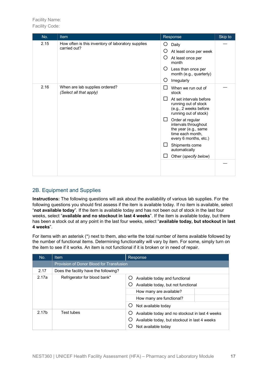| No.  | <b>Item</b>                                                        | Response                                                                                                                | Skip to |
|------|--------------------------------------------------------------------|-------------------------------------------------------------------------------------------------------------------------|---------|
| 2.15 | How often is this inventory of laboratory supplies<br>carried out? | Daily<br>Ő<br>O<br>At least once per week                                                                               |         |
|      |                                                                    | At least once per<br>$\left( \right)$<br>month                                                                          |         |
|      |                                                                    | Ő<br>Less than once per<br>month (e.g., quarterly)                                                                      |         |
|      |                                                                    | O<br>Irregularly                                                                                                        |         |
| 2.16 | When are lab supplies ordered?<br>(Select all that apply)          | When we run out of<br>$\mathbf{I}$<br>stock                                                                             |         |
|      |                                                                    | ΙI<br>At set intervals before<br>running out of stock<br>(e.g., 2 weeks before<br>running out of stock)                 |         |
|      |                                                                    | $\Box$<br>Order at regular<br>intervals throughout<br>the year (e.g., same<br>time each month,<br>every 6 months, etc.) |         |
|      |                                                                    | Shipments come<br>$\mathbf{L}$<br>automatically                                                                         |         |
|      |                                                                    | Other (specify below)<br>$\mathsf{L}$                                                                                   |         |
|      |                                                                    |                                                                                                                         |         |

#### 2B. Equipment and Supplies

**Instructions:** The following questions will ask about the availability of various lab supplies. For the following questions you should first assess if the item is available today. If no item is available, select "**not available today**". If the item is available today and has not been out of stock in the last four weeks, select "**available and no stockout in last 4 weeks**". If the item is available today, but there has been a stock out at any point in the last four weeks, select "**available today, but stockout in last 4 weeks**".

For items with an asterisk (\*) next to them, also write the total number of items available followed by the number of functional items. Determining functionality will vary by item. For some, simply turn on the item to see if it works. An item is not functional if it is broken or in need of repair.

| No.               | Item                                     | Response                                                                                                                                            |
|-------------------|------------------------------------------|-----------------------------------------------------------------------------------------------------------------------------------------------------|
|                   | Provision of Donor Blood for Transfusion |                                                                                                                                                     |
| 2.17              | Does the facility have the following?    |                                                                                                                                                     |
| 2.17a             | Refrigerator for blood bank*             | Available today and functional<br>Available today, but not functional<br>How many are available?<br>How many are functional?<br>Not available today |
| 2.17 <sub>b</sub> | Test tubes                               | Available today and no stockout in last 4 weeks<br>Available today, but stockout in last 4 weeks<br>Not available today                             |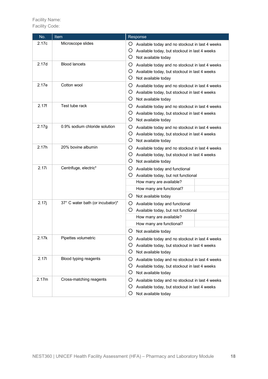| No.   | <b>Item</b>                      | Response                                                                                                                                |
|-------|----------------------------------|-----------------------------------------------------------------------------------------------------------------------------------------|
| 2.17c | Microscope slides                | Ő<br>Available today and no stockout in last 4 weeks<br>Ő<br>Available today, but stockout in last 4 weeks<br>O<br>Not available today  |
| 2.17d | <b>Blood lancets</b>             | Ő<br>Available today and no stockout in last 4 weeks<br>O<br>Available today, but stockout in last 4 weeks<br>O.<br>Not available today |
| 2.17e | Cotton wool                      | Ő<br>Available today and no stockout in last 4 weeks<br>O.<br>Available today, but stockout in last 4 weeks<br>O<br>Not available today |
| 2.17f | Test tube rack                   | Ő<br>Available today and no stockout in last 4 weeks<br>Ő<br>Available today, but stockout in last 4 weeks<br>O<br>Not available today  |
| 2.17g | 0.9% sodium chloride solution    | Ő<br>Available today and no stockout in last 4 weeks<br>O<br>Available today, but stockout in last 4 weeks<br>O<br>Not available today  |
| 2.17h | 20% bovine albumin               | Ő<br>Available today and no stockout in last 4 weeks<br>Ő<br>Available today, but stockout in last 4 weeks<br>O<br>Not available today  |
| 2.17i | Centrifuge, electric*            | Ő.<br>Available today and functional<br>Ő<br>Available today, but not functional                                                        |
|       |                                  | How many are available?                                                                                                                 |
|       |                                  | How many are functional?                                                                                                                |
|       |                                  | O.<br>Not available today                                                                                                               |
| 2.17j | 37° C water bath (or incubator)* | Ő.<br>Available today and functional                                                                                                    |
|       |                                  | Ő<br>Available today, but not functional                                                                                                |
|       |                                  | How many are available?                                                                                                                 |
|       |                                  | How many are functional?                                                                                                                |
|       |                                  | O<br>Not available today                                                                                                                |
| 2.17k | Pipettes volumetric              | Ő<br>Available today and no stockout in last 4 weeks<br>Ő<br>Available today, but stockout in last 4 weeks                              |
|       |                                  | O<br>Not available today                                                                                                                |
| 2.17  | Blood typing reagents            | O<br>Available today and no stockout in last 4 weeks                                                                                    |
|       |                                  | Ő<br>Available today, but stockout in last 4 weeks                                                                                      |
|       |                                  | Ő<br>Not available today                                                                                                                |
| 2.17m | Cross-matching reagents          | Ő<br>Available today and no stockout in last 4 weeks                                                                                    |
|       |                                  | O<br>Available today, but stockout in last 4 weeks                                                                                      |
|       |                                  | O<br>Not available today                                                                                                                |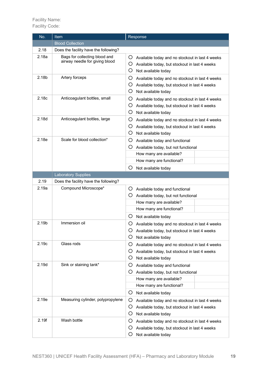| No.   | Item                                                            | Response                                                                                                                                                                  |  |
|-------|-----------------------------------------------------------------|---------------------------------------------------------------------------------------------------------------------------------------------------------------------------|--|
|       | <b>Blood Collection</b>                                         |                                                                                                                                                                           |  |
| 2.18  | Does the facility have the following?                           |                                                                                                                                                                           |  |
| 2.18a | Bags for collecting blood and<br>airway needle for giving blood | O Available today and no stockout in last 4 weeks<br>O<br>Available today, but stockout in last 4 weeks<br>O<br>Not available today                                       |  |
| 2.18b | Artery forceps                                                  | O<br>Available today and no stockout in last 4 weeks<br>Ő<br>Available today, but stockout in last 4 weeks<br>O<br>Not available today                                    |  |
| 2.18c | Anticoagulant bottles, small                                    | Ő<br>Available today and no stockout in last 4 weeks<br>Ő<br>Available today, but stockout in last 4 weeks<br>O<br>Not available today                                    |  |
| 2.18d | Anticoagulant bottles, large                                    | Ő<br>Available today and no stockout in last 4 weeks<br>O<br>Available today, but stockout in last 4 weeks<br>O<br>Not available today                                    |  |
| 2.18e | Scale for blood collection*                                     | O<br>Available today and functional<br>O<br>Available today, but not functional<br>How many are available?<br>How many are functional?<br>O<br>Not available today        |  |
|       | <b>Laboratory Supplies</b>                                      |                                                                                                                                                                           |  |
| 2.19  | Does the facility have the following?                           |                                                                                                                                                                           |  |
| 2.19a | Compound Microscope*                                            | O<br>Available today and functional<br>O.<br>Available today, but not functional<br>How many are available?<br>How many are functional?                                   |  |
| 2.19b | Immersion oil                                                   | O.<br>Not available today<br>Ő<br>Available today and no stockout in last 4 weeks<br>O<br>Available today, but stockout in last 4 weeks<br>Ő<br>Not available today       |  |
| 2.19c | Glass rods                                                      | Ő<br>Available today and no stockout in last 4 weeks<br>O.<br>Available today, but stockout in last 4 weeks<br>O<br>Not available today                                   |  |
| 2.19d | Sink or staining tank*                                          | Ő<br>Available today and functional<br>Ő.<br>Available today, but not functional<br>How many are available?<br>How many are functional?<br>$\circ$<br>Not available today |  |
| 2.19e | Measuring cylinder, polypropylene                               | Ő<br>Available today and no stockout in last 4 weeks<br>Ő<br>Available today, but stockout in last 4 weeks<br>Ő<br>Not available today                                    |  |
| 2.19f | Wash bottle                                                     | O<br>Available today and no stockout in last 4 weeks<br>Ő<br>Available today, but stockout in last 4 weeks<br>O<br>Not available today                                    |  |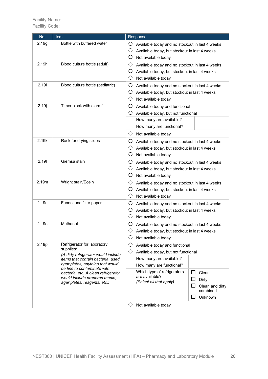| No.   | Item                                                                                                                                | Response                                                                                                                                                              |  |
|-------|-------------------------------------------------------------------------------------------------------------------------------------|-----------------------------------------------------------------------------------------------------------------------------------------------------------------------|--|
| 2.19g | Bottle with buffered water                                                                                                          | Ő<br>Available today and no stockout in last 4 weeks<br>O<br>Available today, but stockout in last 4 weeks<br>O.<br>Not available today                               |  |
| 2.19h | Blood culture bottle (adult)                                                                                                        | Ő<br>Available today and no stockout in last 4 weeks<br>Ő<br>Available today, but stockout in last 4 weeks<br>O.<br>Not available today                               |  |
| 2.19i | Blood culture bottle (pediatric)                                                                                                    | O<br>Available today and no stockout in last 4 weeks<br>O.<br>Available today, but stockout in last 4 weeks<br>O.<br>Not available today                              |  |
| 2.19j | Timer clock with alarm*                                                                                                             | O.<br>Available today and functional<br>O Available today, but not functional<br>How many are available?<br>How many are functional?                                  |  |
| 2.19k | Rack for drying slides                                                                                                              | O.<br>Not available today<br>O<br>Available today and no stockout in last 4 weeks<br>Ő<br>Available today, but stockout in last 4 weeks<br>O<br>Not available today   |  |
| 2.19  | Giemsa stain                                                                                                                        | Ő<br>Available today and no stockout in last 4 weeks<br>Ő<br>Available today, but stockout in last 4 weeks<br>O.<br>Not available today                               |  |
| 2.19m | Wright stain/Eosin                                                                                                                  | O<br>Available today and no stockout in last 4 weeks<br>Ő.<br>Available today, but stockout in last 4 weeks<br>O.<br>Not available today                              |  |
| 2.19n | Funnel and filter paper                                                                                                             | O.<br>Available today and no stockout in last 4 weeks<br>O.<br>Available today, but stockout in last 4 weeks<br>O<br>Not available today                              |  |
| 2.19o | Methanol                                                                                                                            | Ő<br>Available today and no stockout in last 4 weeks<br>Ő<br>Available today, but stockout in last 4 weeks<br>O<br>Not available today                                |  |
| 2.19p | Refrigerator for laboratory<br>supplies*                                                                                            | O<br>Available today and functional                                                                                                                                   |  |
|       | (A dirty refrigerator would include                                                                                                 | O<br>Available today, but not functional                                                                                                                              |  |
|       | items that contain bacteria, used<br>agar plates, anything that would                                                               | How many are available?                                                                                                                                               |  |
|       | be fine to contaminate with<br>bacteria, etc. A clean refrigerator<br>would include prepared media,<br>agar plates, reagents, etc.) | How many are functional?<br>Which type of refrigerators<br>Clean<br>are available?<br>Dirty<br>(Select all that apply)<br>Clean and dirty<br>combined<br>Unknown<br>O |  |
|       |                                                                                                                                     | Not available today                                                                                                                                                   |  |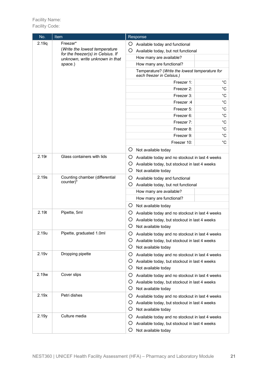| No.   | Item                                                                                                 |   | Response                                                                    |              |
|-------|------------------------------------------------------------------------------------------------------|---|-----------------------------------------------------------------------------|--------------|
| 2.19q | Freezer*                                                                                             | Ő | Available today and functional                                              |              |
|       | (Write the lowest temperature<br>for the freezer(s) in Celsius. If<br>unknown, write unknown in that | O | Available today, but not functional                                         |              |
|       |                                                                                                      |   | How many are available?                                                     |              |
|       | space.)                                                                                              |   | How many are functional?                                                    |              |
|       |                                                                                                      |   | Temperature? (Write the lowest temperature for<br>each freezer in Celsius.) |              |
|       |                                                                                                      |   | Freezer 1:                                                                  | °C           |
|       |                                                                                                      |   | Freezer 2:                                                                  | $^{\circ}C$  |
|       |                                                                                                      |   | Freezer 3:                                                                  | $^{\circ}C$  |
|       |                                                                                                      |   | Freezer: 4                                                                  | $^{\circ}$ C |
|       |                                                                                                      |   | Freezer 5:                                                                  | $^{\circ}C$  |
|       |                                                                                                      |   | Freezer 6:                                                                  | $^{\circ}$ C |
|       |                                                                                                      |   | Freezer 7:                                                                  | $^{\circ}$ C |
|       |                                                                                                      |   | Freezer 8:                                                                  | $^{\circ}C$  |
|       |                                                                                                      |   | Freezer 9:                                                                  | $^{\circ}C$  |
|       |                                                                                                      |   | Freezer 10:                                                                 | $^{\circ}$ C |
|       |                                                                                                      | Ő | Not available today                                                         |              |
| 2.19r | Glass containers with lids                                                                           | O | Available today and no stockout in last 4 weeks                             |              |
|       |                                                                                                      | O | Available today, but stockout in last 4 weeks                               |              |
|       |                                                                                                      | O | Not available today                                                         |              |
| 2.19s | Counting chamber (differential                                                                       | Ő | Available today and functional                                              |              |
|       | counter)*                                                                                            | O | Available today, but not functional                                         |              |
|       |                                                                                                      |   | How many are available?                                                     |              |
|       |                                                                                                      |   | How many are functional?                                                    |              |
|       |                                                                                                      | Ő | Not available today                                                         |              |
| 2.19t | Pipette, 5ml                                                                                         | Ő | Available today and no stockout in last 4 weeks                             |              |
|       |                                                                                                      | Ő | Available today, but stockout in last 4 weeks                               |              |
|       |                                                                                                      | Ő | Not available today                                                         |              |
| 2.19u | Pipette, graduated 1.0ml                                                                             | O | Available today and no stockout in last 4 weeks                             |              |
|       |                                                                                                      | Ő | Available today, but stockout in last 4 weeks                               |              |
|       |                                                                                                      | O | Not available today                                                         |              |
| 2.19v | Dropping pipette                                                                                     | O | Available today and no stockout in last 4 weeks                             |              |
|       |                                                                                                      | Ő | Available today, but stockout in last 4 weeks                               |              |
|       |                                                                                                      | Ő | Not available today                                                         |              |
| 2.19w | Cover slips                                                                                          | Ő | Available today and no stockout in last 4 weeks                             |              |
|       |                                                                                                      | Ő | Available today, but stockout in last 4 weeks                               |              |
|       |                                                                                                      | O | Not available today                                                         |              |
| 2.19x | Petri dishes                                                                                         | Ő | Available today and no stockout in last 4 weeks                             |              |
|       |                                                                                                      | Ő | Available today, but stockout in last 4 weeks                               |              |
|       |                                                                                                      | Ő | Not available today                                                         |              |
| 2.19y | Culture media                                                                                        | Ő | Available today and no stockout in last 4 weeks                             |              |
|       |                                                                                                      | Ő | Available today, but stockout in last 4 weeks                               |              |
|       |                                                                                                      | O | Not available today                                                         |              |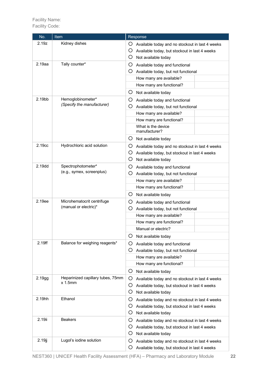| No.                | Item                                                | Response                                                                                                                               |  |
|--------------------|-----------------------------------------------------|----------------------------------------------------------------------------------------------------------------------------------------|--|
| 2.19z              | Kidney dishes                                       | Ő<br>Available today and no stockout in last 4 weeks<br>Ő<br>Available today, but stockout in last 4 weeks<br>Ő<br>Not available today |  |
| $2.19$ aa          | Tally counter*                                      | Ő<br>Available today and functional<br>O.<br>Available today, but not functional<br>How many are available?                            |  |
|                    |                                                     | How many are functional?                                                                                                               |  |
| 2.19 <sub>bb</sub> | Hemoglobinometer*<br>(Specify the manufacturer)     | O.<br>Not available today<br>O<br>Available today and functional<br>O<br>Available today, but not functional                           |  |
|                    |                                                     | How many are available?<br>How many are functional?                                                                                    |  |
|                    |                                                     | What is the device<br>manufacturer?                                                                                                    |  |
| 2.19cc             | Hydrochloric acid solution                          | O.<br>Not available today<br>$\bigcirc$ Available today and no stockout in last 4 weeks                                                |  |
|                    |                                                     | Ő<br>Available today, but stockout in last 4 weeks<br>O<br>Not available today                                                         |  |
| 2.19 <sub>dd</sub> | Spectrophotometer*<br>(e.g., symex, screenplus)     | O<br>Available today and functional<br>Ő<br>Available today, but not functional                                                        |  |
|                    |                                                     | How many are available?<br>How many are functional?                                                                                    |  |
|                    |                                                     | $\circ$<br>Not available today                                                                                                         |  |
| 2.19ee             | Microhematocrit centrifuge<br>(manual or electric)* | Ő<br>Available today and functional                                                                                                    |  |
|                    |                                                     | Ő<br>Available today, but not functional<br>How many are available?                                                                    |  |
|                    |                                                     | How many are functional?                                                                                                               |  |
|                    |                                                     | Manual or electric?                                                                                                                    |  |
|                    |                                                     | O<br>Not available today                                                                                                               |  |
| 2.19ff             | Balance for weighing reagents*                      | Ő<br>Available today and functional                                                                                                    |  |
|                    |                                                     | Ő<br>Available today, but not functional                                                                                               |  |
|                    |                                                     | How many are available?<br>How many are functional?                                                                                    |  |
|                    |                                                     | O.<br>Not available today                                                                                                              |  |
| 2.19gg             | Heparinized capillary tubes, 75mm                   | Ő<br>Available today and no stockout in last 4 weeks                                                                                   |  |
|                    | $x$ 1.5 $mm$                                        | Ő<br>Available today, but stockout in last 4 weeks<br>O<br>Not available today                                                         |  |
| 2.19hh             | Ethanol                                             | O<br>Available today and no stockout in last 4 weeks<br>Ő<br>Available today, but stockout in last 4 weeks<br>O<br>Not available today |  |
| 2.19ii             | <b>Beakers</b>                                      | Ő<br>Available today and no stockout in last 4 weeks<br>Ő<br>Available today, but stockout in last 4 weeks<br>O<br>Not available today |  |
| 2.19j              | Lugol's iodine solution                             | Ő<br>Available today and no stockout in last 4 weeks<br>Available today, but stockout in last 4 weeks<br>Ő                             |  |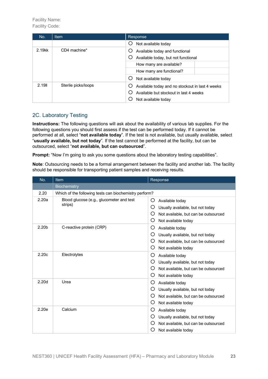| No.                | <b>Item</b>             | Response                                                                   |
|--------------------|-------------------------|----------------------------------------------------------------------------|
|                    |                         | Not available today<br>O)                                                  |
| 2.19 <sub>kk</sub> | CD4 machine*            | Available today and functional<br>Ö<br>Available today, but not functional |
|                    | How many are available? |                                                                            |
|                    |                         | How many are functional?                                                   |
|                    |                         | Not available today                                                        |
| 2.1911             | Sterile picks/loops     | Available today and no stockout in last 4 weeks                            |
|                    |                         | Available but stockout in last 4 weeks                                     |
|                    |                         | Not available today                                                        |

#### 2C. Laboratory Testing

**Instructions:** The following questions will ask about the availability of various lab supplies. For the following questions you should first assess if the test can be performed today. If it cannot be performed at all, select "**not available today**". If the test is not available, but usually available, select "**usually available, but not today**". If the test cannot be performed at the facility, but can be outsourced, select "**not available, but can outsourced**".

**Prompt:** "Now I'm going to ask you some questions about the laboratory testing capabilities".

**Note**: Outsourcing needs to be a formal arrangement between the facility and another lab. The facility should be responsible for transporting patient samples and receiving results.

| No.               | <b>Item</b>                                            | Response                                                                                                                               |  |  |
|-------------------|--------------------------------------------------------|----------------------------------------------------------------------------------------------------------------------------------------|--|--|
|                   | <b>Biochemistry</b>                                    |                                                                                                                                        |  |  |
| 2.20              | Which of the following tests can biochemistry perform? |                                                                                                                                        |  |  |
| 2.20a             | Blood glucose (e.g., glucometer and test<br>strips)    | O<br>Available today<br>Ο<br>Usually available, but not today<br>Ο<br>Not available, but can be outsourced<br>O<br>Not available today |  |  |
| 2.20 <sub>b</sub> | C-reactive protein (CRP)                               | O<br>Available today<br>O<br>Usually available, but not today<br>O<br>Not available, but can be outsourced<br>O<br>Not available today |  |  |
| 2.20c             | Electrolytes                                           | Ο<br>Available today<br>O<br>Usually available, but not today<br>Ω<br>Not available, but can be outsourced<br>O<br>Not available today |  |  |
| 2.20 <sub>d</sub> | Urea                                                   | O<br>Available today<br>О<br>Usually available, but not today<br>Ο<br>Not available, but can be outsourced<br>O<br>Not available today |  |  |
| 2.20e             | Calcium                                                | Ο<br>Available today<br>Ο<br>Usually available, but not today<br>Ο<br>Not available, but can be outsourced<br>O<br>Not available today |  |  |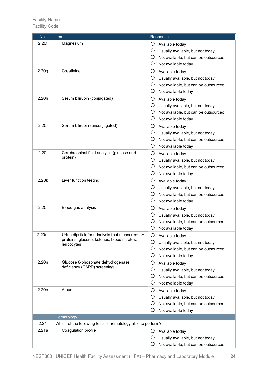| No.               | Item                                                        | Response                                  |
|-------------------|-------------------------------------------------------------|-------------------------------------------|
| 2.20f             | Magnesium                                                   | O<br>Available today                      |
|                   |                                                             | O<br>Usually available, but not today     |
|                   |                                                             | O<br>Not available, but can be outsourced |
|                   |                                                             | O<br>Not available today                  |
| 2.20 <sub>g</sub> | Creatinine                                                  | O<br>Available today                      |
|                   |                                                             | O<br>Usually available, but not today     |
|                   |                                                             | Ő<br>Not available, but can be outsourced |
|                   |                                                             | O<br>Not available today                  |
| 2.20h             | Serum bilirubin (conjugated)                                | O<br>Available today                      |
|                   |                                                             | O<br>Usually available, but not today     |
|                   |                                                             | O                                         |
|                   |                                                             | Not available, but can be outsourced<br>O |
| 2.20i             | Serum bilirubin (unconjugated)                              | Not available today                       |
|                   |                                                             | O<br>Available today                      |
|                   |                                                             | O<br>Usually available, but not today     |
|                   |                                                             | O<br>Not available, but can be outsourced |
|                   |                                                             | O<br>Not available today                  |
| 2.20j             | Cerebrospinal fluid analysis (glucose and<br>protein)       | O<br>Available today                      |
|                   |                                                             | O<br>Usually available, but not today     |
|                   |                                                             | O<br>Not available, but can be outsourced |
|                   |                                                             | O<br>Not available today                  |
| 2.20k             | Liver function testing                                      | O<br>Available today                      |
|                   |                                                             | O<br>Usually available, but not today     |
|                   |                                                             | O<br>Not available, but can be outsourced |
|                   |                                                             | O<br>Not available today                  |
| 2.201             | Blood gas analysis                                          | O<br>Available today                      |
|                   |                                                             | O<br>Usually available, but not today     |
|                   |                                                             | O<br>Not available, but can be outsourced |
|                   |                                                             | Ő<br>Not available today                  |
| 2.20m             | Urine dipstick for urinalysis that measures: pH,            | Available today                           |
|                   | proteins, glucose, ketones, blood nitrates,<br>leucocytes   | O<br>Usually available, but not today     |
|                   |                                                             | O<br>Not available, but can be outsourced |
|                   |                                                             | O<br>Not available today                  |
| 2.20n             | Glucose 6-phosphate dehydrogenase                           | O<br>Available today                      |
|                   | deficiency (G6PD) screening                                 | O<br>Usually available, but not today     |
|                   |                                                             | O<br>Not available, but can be outsourced |
|                   |                                                             | O<br>Not available today                  |
| 2.20o             | Albumin                                                     | O<br>Available today                      |
|                   |                                                             | Ő<br>Usually available, but not today     |
|                   |                                                             | O<br>Not available, but can be outsourced |
|                   |                                                             | O<br>Not available today                  |
|                   | Hematology                                                  |                                           |
| 2.21              | Which of the following tests is hematology able to perform? |                                           |
| 2.21a             | Coagulation profile                                         | Ő<br>Available today                      |
|                   |                                                             | Usually available, but not today<br>Ő     |
|                   |                                                             | O<br>Not available, but can be outsourced |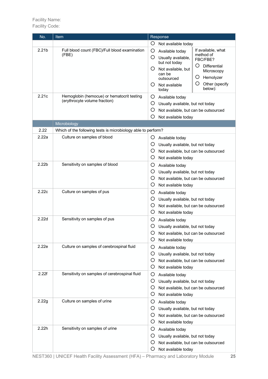| No.               | <b>Item</b>                                                                 |                                    | Response                                                                                                                    |                                                                                                                                |
|-------------------|-----------------------------------------------------------------------------|------------------------------------|-----------------------------------------------------------------------------------------------------------------------------|--------------------------------------------------------------------------------------------------------------------------------|
|                   |                                                                             | O                                  | Not available today                                                                                                         |                                                                                                                                |
| 2.21 <sub>b</sub> | Full blood count (FBC)/Full blood examination<br>(FBE)                      | $\circ$<br>O<br>Ő<br>$\mathcal{L}$ | Available today<br>Usually available,<br>but not today<br>Not available, but<br>can be<br>outsourced<br>Not available       | If available, what<br>method of<br>FBC/FBE?<br>O<br><b>Differential</b><br>Microscopy<br>O<br>Hemolyzer<br>O<br>Other (specify |
| 2.21c             | Hemoglobin (hemocue) or hematocrit testing<br>(erythrocyte volume fraction) | O<br>O<br>O<br>O                   | today<br>Available today<br>Usually available, but not today<br>Not available, but can be outsourced<br>Not available today | below):                                                                                                                        |
|                   | Microbiology                                                                |                                    |                                                                                                                             |                                                                                                                                |
| 2.22              | Which of the following tests is microbiology able to perform?               |                                    |                                                                                                                             |                                                                                                                                |
| 2.22a             | Culture on samples of blood                                                 | Ő<br>O<br>Ő<br>O                   | Available today<br>Usually available, but not today<br>Not available, but can be outsourced<br>Not available today          |                                                                                                                                |
| 2.22 <sub>b</sub> | Sensitivity on samples of blood                                             | O<br>O<br>O<br>O                   | Available today<br>Usually available, but not today<br>Not available, but can be outsourced<br>Not available today          |                                                                                                                                |
| 2.22c             | Culture on samples of pus                                                   | O<br>O<br>O<br>O                   | Available today<br>Usually available, but not today<br>Not available, but can be outsourced<br>Not available today          |                                                                                                                                |
| 2.22d             | Sensitivity on samples of pus                                               | O<br>Ő<br>O<br>Ő                   | Available today<br>Usually available, but not today<br>Not available, but can be outsourced<br>Not available today          |                                                                                                                                |
| 2.22e             | Culture on samples of cerebrospinal fluid                                   | O<br>O<br>O<br>O                   | Available today<br>Usually available, but not today<br>Not available, but can be outsourced<br>Not available today          |                                                                                                                                |
| 2.22f             | Sensitivity on samples of cerebrospinal fluid                               | O<br>O<br>Ő<br>Ő                   | Available today<br>Usually available, but not today<br>Not available, but can be outsourced<br>Not available today          |                                                                                                                                |
| 2.22g             | Culture on samples of urine                                                 | O<br>O<br>O<br>O                   | Available today<br>Usually available, but not today<br>Not available, but can be outsourced<br>Not available today          |                                                                                                                                |
| 2.22h             | Sensitivity on samples of urine                                             | Ő<br>Ő<br>O<br>O                   | Available today<br>Usually available, but not today<br>Not available, but can be outsourced<br>Not available today          |                                                                                                                                |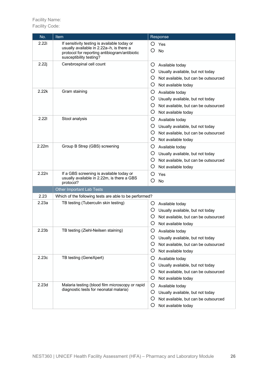| No.               | <u>Item</u>                                                                                                                                                          | Response                                                                                                                               |
|-------------------|----------------------------------------------------------------------------------------------------------------------------------------------------------------------|----------------------------------------------------------------------------------------------------------------------------------------|
| 2.22i             | If sensitivity testing is available today or<br>usually available in 2.22a-h, is there a<br>protocol for reporting antibiogram/antibiotic<br>susceptibility testing? | O<br>Yes<br>O<br>No                                                                                                                    |
| 2.22j             | Cerebrospinal cell count                                                                                                                                             | Ő<br>Available today<br>O<br>Usually available, but not today<br>O<br>Not available, but can be outsourced<br>O<br>Not available today |
| 2.22k             | Gram staining                                                                                                                                                        | O<br>Available today<br>O<br>Usually available, but not today<br>O<br>Not available, but can be outsourced<br>O<br>Not available today |
| 2.221             | Stool analysis                                                                                                                                                       | O<br>Available today<br>O<br>Usually available, but not today<br>O<br>Not available, but can be outsourced<br>O<br>Not available today |
| 2.22m             | Group B Strep (GBS) screening                                                                                                                                        | O<br>Available today<br>O<br>Usually available, but not today<br>O<br>Not available, but can be outsourced<br>O<br>Not available today |
| 2.22n             | If a GBS screening is available today or<br>usually available in 2.22m, is there a GBS<br>protocol?                                                                  | O<br>Yes<br>O<br>No                                                                                                                    |
|                   | Other Important Lab Tests                                                                                                                                            |                                                                                                                                        |
| 2.23              | Which of the following tests are able to be performed?                                                                                                               |                                                                                                                                        |
| 2.23a             | TB testing (Tuberculin skin testing)                                                                                                                                 | Ő<br>Available today<br>O<br>Usually available, but not today<br>O<br>Not available, but can be outsourced<br>O<br>Not available today |
| 2.23 <sub>b</sub> | TB testing (Ziehl-Neilsen staining)                                                                                                                                  | O<br>Available today<br>O<br>Usually available, but not today<br>O<br>Not available, but can be outsourced<br>O<br>Not available today |
| 2.23c             | TB testing (GeneXpert)                                                                                                                                               | O<br>Available today<br>O<br>Usually available, but not today<br>O<br>Not available, but can be outsourced<br>O<br>Not available today |
| 2.23d             | Malaria testing (blood film microscopy or rapid<br>diagnostic tests for neonatal malaria)                                                                            | O<br>Available today<br>O<br>Usually available, but not today<br>O<br>Not available, but can be outsourced<br>O<br>Not available today |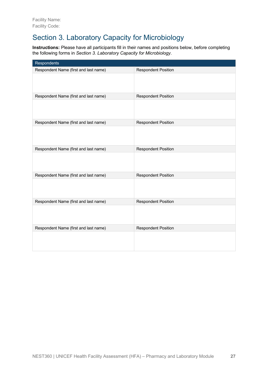# Section 3. Laboratory Capacity for Microbiology

**Instructions:** Please have all participants fill in their names and positions below, before completing the following forms in *Section 3. Laboratory Capacity for Microbiology*.

| Respondents                           |                            |
|---------------------------------------|----------------------------|
| Respondent Name (first and last name) | <b>Respondent Position</b> |
|                                       |                            |
| Respondent Name (first and last name) | <b>Respondent Position</b> |
|                                       |                            |
| Respondent Name (first and last name) | <b>Respondent Position</b> |
|                                       |                            |
| Respondent Name (first and last name) | <b>Respondent Position</b> |
|                                       |                            |
| Respondent Name (first and last name) | <b>Respondent Position</b> |
|                                       |                            |
| Respondent Name (first and last name) | <b>Respondent Position</b> |
|                                       |                            |
| Respondent Name (first and last name) | <b>Respondent Position</b> |
|                                       |                            |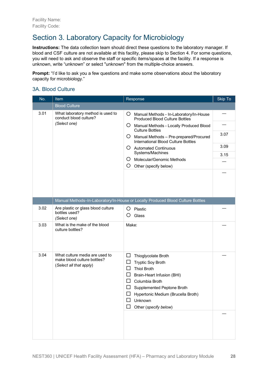# Section 3. Laboratory Capacity for Microbiology

**Instructions:** The data collection team should direct these questions to the laboratory manager. If blood and CSF culture are not available at this facility, please skip to Section 4. For some questions, you will need to ask and observe the staff or specific items/spaces at the facility. If a response is unknown, write "unknown" or select "unknown" from the multiple-choice answers.

**Prompt:** "I'd like to ask you a few questions and make some observations about the laboratory capacity for microbiology."

#### 3A. Blood Culture

| No.  | Item                                                                                     | Response                                                                                                                                                                                                                                                              | Skip To |
|------|------------------------------------------------------------------------------------------|-----------------------------------------------------------------------------------------------------------------------------------------------------------------------------------------------------------------------------------------------------------------------|---------|
|      | <b>Blood Culture</b>                                                                     |                                                                                                                                                                                                                                                                       |         |
| 3.01 | What laboratory method is used to<br>conduct blood culture?                              | O.<br>Manual Methods - In-Laboratory/In-House<br><b>Produced Blood Culture Bottles</b>                                                                                                                                                                                |         |
|      | (Select one)                                                                             | Ő<br>Manual Methods - Locally Produced Blood<br><b>Culture Bottles</b>                                                                                                                                                                                                |         |
|      |                                                                                          | Ő<br>Manual Methods - Pre-prepared/Procured<br>International Blood Culture Bottles                                                                                                                                                                                    | 3.07    |
|      |                                                                                          | Ő<br><b>Automated Continuous</b>                                                                                                                                                                                                                                      | 3.09    |
|      |                                                                                          | Systems/Machines                                                                                                                                                                                                                                                      | 3.15    |
|      |                                                                                          | Molecular/Genomic Methods<br>Ő                                                                                                                                                                                                                                        |         |
|      |                                                                                          | O<br>Other (specify below)                                                                                                                                                                                                                                            |         |
|      |                                                                                          |                                                                                                                                                                                                                                                                       |         |
|      |                                                                                          |                                                                                                                                                                                                                                                                       |         |
|      |                                                                                          |                                                                                                                                                                                                                                                                       |         |
|      |                                                                                          | Manual Methods-In-Laboratory/In-House or Locally Produced Blood Culture Bottles                                                                                                                                                                                       |         |
| 3.02 | Are plastic or glass blood culture<br>bottles used?<br>(Select one)                      | O<br>Plastic<br>Glass<br>Ő                                                                                                                                                                                                                                            |         |
| 3.03 | What is the make of the blood<br>culture bottles?                                        | Make:                                                                                                                                                                                                                                                                 |         |
| 3.04 | What culture media are used to<br>make blood culture bottles?<br>(Select all that apply) | ப<br>Thioglycolate Broth<br>□<br><b>Tryptic Soy Broth</b><br>□<br><b>Thiol Broth</b><br>ப<br>Brain-Heart Infusion (BHI)<br>ப<br>Columbia Broth<br>$\Box$<br>Supplemented Peptone Broth<br>ப<br>Hypertonic Medium (Brucella Broth)<br>Unknown<br>Other (specify below) |         |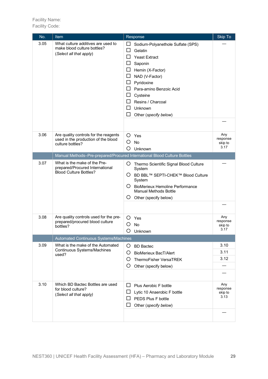| No.  | Item                                                                                             | Response                                                                                                                                                                                                                                                                        | <b>Skip To</b>                     |
|------|--------------------------------------------------------------------------------------------------|---------------------------------------------------------------------------------------------------------------------------------------------------------------------------------------------------------------------------------------------------------------------------------|------------------------------------|
| 3.05 | What culture additives are used to<br>make blood culture bottles?<br>(Select all that apply)     | ப<br>Sodium-Polyanethole Sulfate (SPS)<br>$\sqcup$<br>Gelatin<br><b>Yeast Extract</b><br>Saponin<br>Hemin (X-Factor)<br>ப<br>NAD (V-Factor)<br>ப<br>Pyridoxine<br>ப<br>Para-amino Benzoic Acid<br>Cysteine<br>Resins / Charcoal<br>ΙI<br>Unknown<br>ΙI<br>Other (specify below) |                                    |
| 3.06 | Are quality controls for the reagents                                                            | O<br>Yes                                                                                                                                                                                                                                                                        | Any                                |
|      | used in the production of the blood                                                              | O<br>No                                                                                                                                                                                                                                                                         | response<br>skip to                |
|      | culture bottles?                                                                                 | O<br>Unknown                                                                                                                                                                                                                                                                    | 3.17                               |
|      | Manual Methods-Pre-prepared/Procured International Blood Culture Bottles                         |                                                                                                                                                                                                                                                                                 |                                    |
| 3.07 | What is the make of the Pre-<br>prepared/Procured International<br><b>Blood Culture Bottles?</b> | Ő.<br>Thermo Scientific Signal Blood Culture<br>System<br>○ BD BBL™ SEPTI-CHEK™ Blood Culture<br>System<br><b>BioMerieux Hemoline Performance</b><br>O<br><b>Manual Methods Bottle</b><br>Ő<br>Other (specify below)                                                            |                                    |
|      |                                                                                                  |                                                                                                                                                                                                                                                                                 |                                    |
| 3.08 | Are quality controls used for the pre-<br>prepared/procured blood culture<br>bottles?            | Ő<br>Yes<br>No<br>Ω<br>Unknown                                                                                                                                                                                                                                                  | Any<br>response<br>skip to<br>3.17 |
|      | Automated Continuous Systems/Machines                                                            |                                                                                                                                                                                                                                                                                 |                                    |
| 3.09 | What is the make of the Automated<br>Continuous Systems/Machines<br>used?                        | O<br><b>BD Bactec</b><br>Ő<br><b>BioMerieux BacT/Alert</b><br>O<br><b>ThermoFisher VersaTREK</b><br>O<br>Other (specify below)                                                                                                                                                  | 3.10<br>3.11<br>3.12               |
| 3.10 | Which BD Bactec Bottles are used<br>for blood culture?<br>(Select all that apply)                | $\mathsf{L}$<br>Plus Aerobic F bottle<br>Lytic 10 Anaerobic F bottle<br>PEDS Plus F bottle<br>Other (specify below)                                                                                                                                                             | Any<br>response<br>skip to<br>3.13 |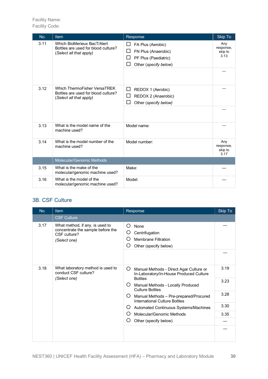| No.  | Item                                                                                           | Response                                                                                                                      | <b>Skip To</b>                      |
|------|------------------------------------------------------------------------------------------------|-------------------------------------------------------------------------------------------------------------------------------|-------------------------------------|
| 3.11 | Which BioMerieux BacT/Alert<br>Bottles are used for blood culture?<br>(Select all that apply)  | FA Plus (Aerobic)<br>ப<br>□<br>FN Plus (Anaerobic)<br>$\Box$<br>PF Plus (Paediatric)<br>Other (specify below)<br>$\mathsf{L}$ | Any<br>response,<br>skip to<br>3.13 |
|      |                                                                                                |                                                                                                                               |                                     |
| 3.12 | Which ThermoFisher VersaTREK<br>Bottles are used for blood culture?<br>(Select all that apply) | ப<br>REDOX 1 (Aerobic)<br>⊔<br>REDOX 2 (Anaerobic)<br>$\Box$<br>Other (specify below)                                         |                                     |
|      |                                                                                                |                                                                                                                               |                                     |
| 3.13 | What is the model name of the<br>machine used?                                                 | Model name:                                                                                                                   |                                     |
| 3.14 | What is the model number of the<br>machine used?                                               | Model number:                                                                                                                 | Any<br>response,<br>skip to<br>3.17 |
|      | Molecular/Genomic Methods                                                                      |                                                                                                                               |                                     |
| 3.15 | What is the make of the<br>molecular/genomic machine used?                                     | Make:                                                                                                                         |                                     |
| 3.16 | What is the model of the<br>molecular/genomic machine used?                                    | Model:                                                                                                                        |                                     |

#### 3B. CSF Culture

| No.  | Item                                                                                                 | Response                                                                                              | Skip To |
|------|------------------------------------------------------------------------------------------------------|-------------------------------------------------------------------------------------------------------|---------|
|      | <b>CSF Culture</b>                                                                                   |                                                                                                       |         |
| 3.17 | What method, if any, is used to<br>concentrate the sample before the<br>CSF culture?<br>(Select one) | ( )<br>None<br>Centrifugation<br>Ő<br><b>Membrane Filtration</b><br>( )<br>Other (specify below)<br>O |         |
|      |                                                                                                      |                                                                                                       |         |
| 3.18 | What laboratory method is used to<br>conduct CSF culture?                                            | Ő<br>Manual Methods - Direct Agar Culture or<br>In-Laboratory/In-House Produced Culture               | 3.19    |
|      | (Select one)                                                                                         | <b>Bottles</b><br>$\lambda$<br>Manual Methods - Locally Produced<br><b>Culture Bottles</b>            | 3.23    |
|      |                                                                                                      | Ő<br>Manual Methods - Pre-prepared/Procured<br>International Culture Bottles                          | 3.28    |
|      |                                                                                                      | Ő<br>Automated Continuous Systems/Machines                                                            | 3.30    |
|      |                                                                                                      | Molecular/Genomic Methods<br>()                                                                       | 3.35    |
|      |                                                                                                      | Other (specify below)<br>( )                                                                          |         |
|      |                                                                                                      |                                                                                                       |         |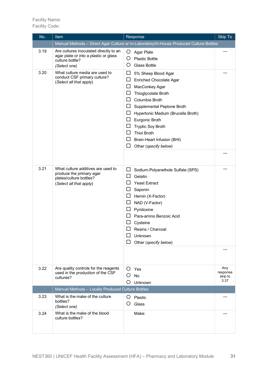| No.  | <b>Item</b>                                                                                                          | Response                                                                                                                                                                                                                                                                                                                                                                              | Skip To                            |
|------|----------------------------------------------------------------------------------------------------------------------|---------------------------------------------------------------------------------------------------------------------------------------------------------------------------------------------------------------------------------------------------------------------------------------------------------------------------------------------------------------------------------------|------------------------------------|
|      |                                                                                                                      | Manual Methods - Direct Agar Culture or In-Laboratory/In-House Produced Culture Bottles                                                                                                                                                                                                                                                                                               |                                    |
| 3.19 | Are cultures inoculated directly to an<br>agar plate or into a plastic or glass<br>culture bottle?<br>(Select one)   | O<br><b>Agar Plate</b><br>O<br><b>Plastic Bottle</b><br>Ο<br><b>Glass Bottle</b>                                                                                                                                                                                                                                                                                                      |                                    |
| 3.20 | What culture media are used to<br>conduct CSF primary culture?<br>(Select all that apply)                            | ப<br>5% Sheep Blood Agar<br>ப<br>Enriched Chocolate Agar<br>□<br>MacConkey Agar<br>ப<br>Thioglycolate Broth<br>Columbia Broth<br>Supplemental Peptone Broth<br>ப<br>ப<br>Hypertonic Medium (Brucella Broth)<br>Eurgonic Broth<br>ப<br><b>Tryptic Soy Broth</b><br>$\mathbf{r}$<br><b>Thiol Broth</b><br>$\mathbf{L}$<br>ப<br>Brain-Heart Infusion (BHI)<br>ப<br>Other (specify below) |                                    |
| 3.21 | What culture additives are used to<br>produce the primary agar<br>plates/culture bottles?<br>(Select all that apply) | ப<br>Sodium-Polyanethole Sulfate (SPS)<br>$\mathsf{L}$<br>Gelatin<br>$\overline{\phantom{a}}$<br><b>Yeast Extract</b><br>ப<br>Saponin<br>Hemin (X-Factor)<br>ப<br>NAD (V-Factor)<br>$\mathsf{L}$<br>Pyridoxine<br>ப<br>Para-amino Benzoic Acid<br>Cysteine<br>Resins / Charcoal<br>Unknown<br>Other (specify below)                                                                   |                                    |
| 3.22 | Are quality controls for the reagents<br>used in the production of the CSF<br>cultures?                              | $O$ Yes<br>◯<br><b>No</b><br>O<br>Unknown                                                                                                                                                                                                                                                                                                                                             | Any<br>response<br>skip to<br>3.37 |
|      | Manual Methods - Locally Produced Culture Bottles                                                                    |                                                                                                                                                                                                                                                                                                                                                                                       |                                    |
| 3.23 | What is the make of the culture<br>bottles?<br>(Select one)                                                          | O<br>Plastic<br>O<br>Glass                                                                                                                                                                                                                                                                                                                                                            |                                    |
| 3.24 | What is the make of the blood<br>culture bottles?                                                                    | Make:                                                                                                                                                                                                                                                                                                                                                                                 |                                    |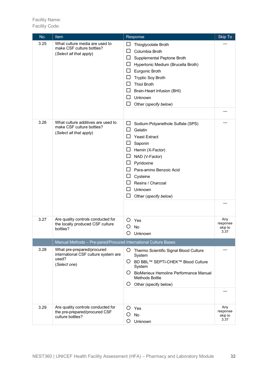| No.  | <b>Item</b>                                                                                 | Response                                                                                                                                                                                                                                                                          | Skip To                            |
|------|---------------------------------------------------------------------------------------------|-----------------------------------------------------------------------------------------------------------------------------------------------------------------------------------------------------------------------------------------------------------------------------------|------------------------------------|
| 3.25 | What culture media are used to<br>make CSF culture bottles?<br>(Select all that apply)      | ப<br>Thioglycolate Broth<br>Columbia Broth<br>Supplemental Peptone Broth<br>Hypertonic Medium (Brucella Broth)<br>ப<br>Eurgonic Broth<br>ப<br><b>Tryptic Soy Broth</b><br><b>Thiol Broth</b><br>Brain-Heart Infusion (BHI)<br>ப<br>Unknown<br>ΙI<br>Other (specify below)<br>ப    |                                    |
| 3.26 | What culture additives are used to<br>make CSF culture bottles?<br>(Select all that apply)  | ப<br>Sodium-Polyanethole Sulfate (SPS)<br>Gelatin<br>$\mathsf{L}$<br><b>Yeast Extract</b><br>Saponin<br>Hemin (X-Factor)<br>ப<br>NAD (V-Factor)<br>ப<br>Pyridoxine<br>Para-amino Benzoic Acid<br>Cysteine<br>ப<br>Resins / Charcoal<br>Unknown<br>H<br>ப<br>Other (specify below) |                                    |
| 3.27 | Are quality controls conducted for<br>the locally produced CSF culture                      | O<br>Yes<br>No                                                                                                                                                                                                                                                                    | Any<br>response<br>skip to         |
|      | bottles?                                                                                    | Unknown                                                                                                                                                                                                                                                                           | 3.37                               |
|      | Manual Methods - Pre-pared/Procured International Culture Bases                             |                                                                                                                                                                                                                                                                                   |                                    |
| 3.28 | What pre-prepared/procured<br>international CSF culture system are<br>used?<br>(Select one) | O Thermo Scientific Signal Blood Culture<br>System<br>O BD BBL™ SEPTI-CHEK™ Blood Culture<br>System<br>O BioMerieux Hemoline Performance Manual<br><b>Methods Bottle</b><br>O<br>Other (specify below)                                                                            |                                    |
| 3.29 | Are quality controls conducted for<br>the pre-prepared/procured CSF<br>culture bottles?     | O Yes<br>No<br>O<br>O<br>Unknown                                                                                                                                                                                                                                                  | Any<br>response<br>skip to<br>3.37 |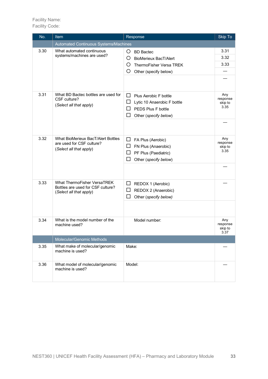| No.  | <b>Item</b>                                                                                 | Response                                                                                                                        | Skip To                            |
|------|---------------------------------------------------------------------------------------------|---------------------------------------------------------------------------------------------------------------------------------|------------------------------------|
|      | Automated Continuous Systems/Machines                                                       |                                                                                                                                 |                                    |
| 3.30 | What automated continuous<br>systems/machines are used?                                     | O BD Bactec<br>Ő<br><b>BioMerieux BacT/Alert</b><br>O<br>ThermoFisher Versa TREK<br>O<br>Other (specify below)                  | 3.31<br>3.32<br>3.33               |
| 3.31 | What BD Bactec bottles are used for<br>CSF culture?<br>(Select all that apply)              | $\Box$ Plus Aerobic F bottle<br>$\Box$<br>Lytic 10 Anaerobic F bottle<br>PEDS Plus F bottle<br>ΙI<br>ப<br>Other (specify below) | Any<br>response<br>skip to<br>3.35 |
| 3.32 | What BioMerieux BacT/Alert Bottles<br>are used for CSF culture?<br>(Select all that apply)  | $\Box$ FA Plus (Aerobic)<br>FN Plus (Anaerobic)<br>ப<br>PF Plus (Paediatric)<br>ப<br>ப<br>Other (specify below)                 | Any<br>response<br>skip to<br>3.35 |
| 3.33 | What ThermoFisher VersaTREK<br>Bottles are used for CSF culture?<br>(Select all that apply) | $\Box$ REDOX 1 (Aerobic)<br>REDOX 2 (Anaerobic)<br>ப<br>□<br>Other (specify below)                                              |                                    |
| 3.34 | What is the model number of the<br>machine used?                                            | Model number:                                                                                                                   | Any<br>response<br>skip to<br>3.37 |
|      | Molecular/Genomic Methods                                                                   |                                                                                                                                 |                                    |
| 3.35 | What make of molecular/genomic<br>machine is used?                                          | Make:                                                                                                                           |                                    |
| 3.36 | What model of molecular/genomic<br>machine is used?                                         | Model:                                                                                                                          |                                    |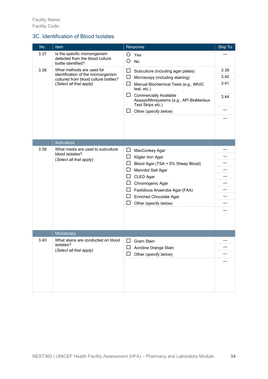#### 3C. Identification of Blood Isolates

| No.  | Item                                                                                                                                | Response                                                                                                                                                                                                                                                                                                                  | Skip To                      |
|------|-------------------------------------------------------------------------------------------------------------------------------------|---------------------------------------------------------------------------------------------------------------------------------------------------------------------------------------------------------------------------------------------------------------------------------------------------------------------------|------------------------------|
| 3.37 | Is the specific microorganism<br>detected from the blood culture<br>bottle identified?                                              | O<br>Yes<br>О<br><b>No</b>                                                                                                                                                                                                                                                                                                |                              |
| 3.38 | What methods are used for<br>identification of the microorganism<br>cultured from blood culture bottles?<br>(Select all that apply) | □<br>Subculture (including agar plates)<br>□<br>Microscopy (including staining)<br>□<br>Manual Biochemical Tests (e.g., IMViC<br>test, etc.)<br>ப<br><b>Commercially Available</b><br>Assays/Minisystems (e.g., API BioMerieux<br>Test Strips etc.)<br>Other (specify below)<br>$\Box$                                    | 3.39<br>3.40<br>3.41<br>3.44 |
|      | Subculture                                                                                                                          |                                                                                                                                                                                                                                                                                                                           |                              |
| 3.39 | What media are used to subculture<br>blood isolates?<br>(Select all that apply)                                                     | $\Box$<br>MacConkey Agar<br>□<br>Kligler Iron Agar<br>ப<br>Blood Agar (TSA + 5% Sheep Blood)<br><b>Mannitol Salt Agar</b><br>$\mathsf{L}$<br>$\mathbf{L}$<br>CLED Agar<br>$\mathbf{L}$<br>Chromogenic Agar<br>ப<br>Fastidious Anaerobe Agar (FAA)<br>$\Box$<br>Enriched Chocolate Agar<br>$\Box$<br>Other (specify below) |                              |
|      | Microscopy                                                                                                                          |                                                                                                                                                                                                                                                                                                                           |                              |
| 3.40 | What stains are conducted on blood<br>isolates?<br>(Select all that apply)                                                          | ΙI<br><b>Gram Stain</b><br>Acridine Orange Stain<br>Other (specify below)                                                                                                                                                                                                                                                 |                              |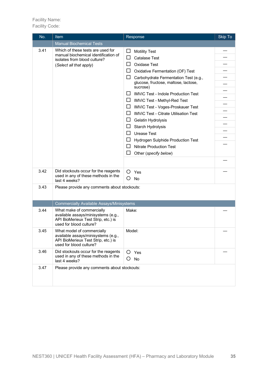| No.  | <b>Item</b>                                                                                                                          | Response                                                                                                                                                                                                                                                                                                                                                                                                                                                                                                                                                                                                                                                  | <b>Skip To</b> |
|------|--------------------------------------------------------------------------------------------------------------------------------------|-----------------------------------------------------------------------------------------------------------------------------------------------------------------------------------------------------------------------------------------------------------------------------------------------------------------------------------------------------------------------------------------------------------------------------------------------------------------------------------------------------------------------------------------------------------------------------------------------------------------------------------------------------------|----------------|
|      | <b>Manual Biochemical Tests</b>                                                                                                      |                                                                                                                                                                                                                                                                                                                                                                                                                                                                                                                                                                                                                                                           |                |
| 3.41 | Which of these tests are used for<br>manual biochemical identification of<br>isolates from blood culture?<br>(Select all that apply) | ப<br><b>Motility Test</b><br><b>Catalase Test</b><br>ΙI<br>$\mathsf{L}$<br>Oxidase Test<br>$\Box$<br>Oxidative Fermentation (OF) Test<br>ப<br>Carbohydrate Fermentation Test (e.g.,<br>glucose, fructose, maltose, lactose,<br>sucrose)<br><b>IMViC Test - Indole Production Test</b><br>ΙI<br>ΙI<br>IMViC Test - Methyl-Red Test<br>ப<br>IMViC Test - Voges-Proskauer Test<br><b>IMViC Test - Citrate Utilisation Test</b><br>ΙI<br>ப<br>Gelatin Hydrolysis<br>Starch Hydrolysis<br>ΙI<br><b>Urease Test</b><br>$\mathsf{L}$<br>ப<br><b>Hydrogen Sulphide Production Test</b><br><b>Nitrate Production Test</b><br>ΙI<br>$\Box$<br>Other (specify below) |                |
| 3.42 | Did stockouts occur for the reagents<br>used in any of these methods in the<br>last 4 weeks?                                         | $O$ Yes<br>O<br>No                                                                                                                                                                                                                                                                                                                                                                                                                                                                                                                                                                                                                                        |                |
| 3.43 | Please provide any comments about stockouts:                                                                                         |                                                                                                                                                                                                                                                                                                                                                                                                                                                                                                                                                                                                                                                           |                |
|      | Commercially Available Assays/Minisystems                                                                                            |                                                                                                                                                                                                                                                                                                                                                                                                                                                                                                                                                                                                                                                           |                |
| 3.44 | What make of commercially<br>available assays/minisystems (e.g.,<br>API BioMerieux Test Strip, etc.) is<br>used for blood culture?   | Make:                                                                                                                                                                                                                                                                                                                                                                                                                                                                                                                                                                                                                                                     |                |
| 3.45 | What model of commercially<br>available assays/minisystems (e.g.,<br>API BioMerieux Test Strip, etc.) is<br>used for blood culture?  | Model:                                                                                                                                                                                                                                                                                                                                                                                                                                                                                                                                                                                                                                                    |                |
| 3.46 | Did stockouts occur for the reagents<br>used in any of these methods in the<br>last 4 weeks?                                         | $O$ Yes<br>No<br>O                                                                                                                                                                                                                                                                                                                                                                                                                                                                                                                                                                                                                                        |                |
| 3.47 | Please provide any comments about stockouts:                                                                                         |                                                                                                                                                                                                                                                                                                                                                                                                                                                                                                                                                                                                                                                           |                |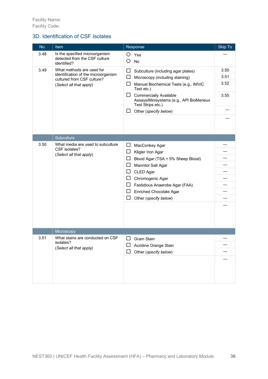#### 3D. Identification of CSF Isolates

| No.  | Item                                                                                                                      | Response                                                                                                                                                                                                                                                                              | Skip To                      |
|------|---------------------------------------------------------------------------------------------------------------------------|---------------------------------------------------------------------------------------------------------------------------------------------------------------------------------------------------------------------------------------------------------------------------------------|------------------------------|
| 3.48 | Is the specified microorganism<br>detected from the CSF culture<br>identified?                                            | O<br>Yes<br>Ο<br><b>No</b>                                                                                                                                                                                                                                                            |                              |
| 3.49 | What methods are used for<br>identification of the microorganism<br>cultured from CSF culture?<br>(Select all that apply) | $\Box$<br>Subculture (including agar plates)<br>ப<br>Microscopy (including staining)<br>ப<br>Manual Biochemical Tests (e.g., IMViC<br>Test etc.)<br>ப<br><b>Commercially Available</b><br>Assays/Minisystems (e.g., API BioMerieux<br>Test Strips etc.)<br>Other (specify below)<br>ப | 3.50<br>3.51<br>3.52<br>3.55 |
|      | Subculture                                                                                                                |                                                                                                                                                                                                                                                                                       |                              |
| 3.50 | What media are used to subculture<br>CSF isolates?<br>(Select all that apply)                                             | $\Box$<br>MacConkey Agar<br>□<br>Kligler Iron Agar<br>ப<br>Blood Agar (TSA + 5% Sheep Blood)<br><b>Mannitol Salt Agar</b><br>ப<br>CLED Agar<br>ப<br>Chromogenic Agar<br>ப<br>Fastidious Anaerobe Agar (FAA)<br>ப<br><b>Enriched Chocolate Agar</b><br>Other (specify below)           |                              |
|      | Microscopy                                                                                                                |                                                                                                                                                                                                                                                                                       |                              |
| 3.51 | What stains are conducted on CSF<br>isolates?<br>(Select all that apply)                                                  | ப<br>Gram Stain<br>Acridine Orange Stain<br>Other (specify below)                                                                                                                                                                                                                     |                              |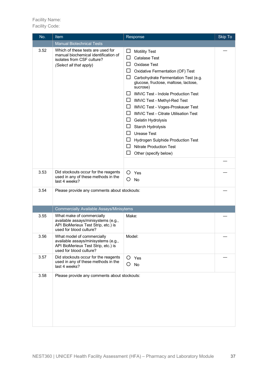| No.  | <b>Item</b>                                                                                                                         | Response                                                                                                                                                                                                                                                                                                                                                                                                                                                                                                                                                                                                        | Skip To |
|------|-------------------------------------------------------------------------------------------------------------------------------------|-----------------------------------------------------------------------------------------------------------------------------------------------------------------------------------------------------------------------------------------------------------------------------------------------------------------------------------------------------------------------------------------------------------------------------------------------------------------------------------------------------------------------------------------------------------------------------------------------------------------|---------|
|      | <b>Manual Biotechnical Tests</b>                                                                                                    |                                                                                                                                                                                                                                                                                                                                                                                                                                                                                                                                                                                                                 |         |
| 3.52 | Which of these tests are used for<br>manual biochemical identification of<br>isolates from CSF culture?<br>(Select all that apply)  | <b>Motility Test</b><br>ப<br>□<br><b>Catalase Test</b><br>ΙI<br>Oxidase Test<br>ப<br>Oxidative Fermentation (OF) Test<br>ப<br>Carbohydrate Fermentation Test (e.g.<br>glucose, fructose, maltose, lactose,<br>sucrose)<br><b>IMViC Test - Indole Production Test</b><br>ΙI<br>ப<br>IMViC Test - Methyl-Red Test<br>ப<br>IMViC Test - Voges-Proskauer Test<br><b>IMViC Test - Citrate Utilisation Test</b><br>ΙI<br>ப<br>Gelatin Hydrolysis<br>Starch Hydrolysis<br>ப<br><b>Urease Test</b><br>ΙI<br>ப<br>Hydrogen Sulphide Production Test<br><b>Nitrate Production Test</b><br>ப<br>□<br>Other (specify below) |         |
|      |                                                                                                                                     |                                                                                                                                                                                                                                                                                                                                                                                                                                                                                                                                                                                                                 |         |
| 3.53 | Did stockouts occur for the reagents<br>used in any of these methods in the<br>last 4 weeks?                                        | O<br>Yes<br><b>No</b><br>O                                                                                                                                                                                                                                                                                                                                                                                                                                                                                                                                                                                      |         |
| 3.54 | Please provide any comments about stockouts:                                                                                        |                                                                                                                                                                                                                                                                                                                                                                                                                                                                                                                                                                                                                 |         |
|      | <b>Commercially Available Assays/Minisytems</b>                                                                                     |                                                                                                                                                                                                                                                                                                                                                                                                                                                                                                                                                                                                                 |         |
| 3.55 | What make of commercially<br>available assays/minisystems (e.g.,<br>API BioMerieux Test Strip, etc.) is<br>used for blood culture?  | Make:                                                                                                                                                                                                                                                                                                                                                                                                                                                                                                                                                                                                           |         |
| 3.56 | What model of commercially<br>available assays/minisystems (e.g.,<br>API BioMerieux Test Strip, etc.) is<br>used for blood culture? | Model:                                                                                                                                                                                                                                                                                                                                                                                                                                                                                                                                                                                                          |         |
| 3.57 | Did stockouts occur for the reagents<br>used in any of these methods in the<br>last 4 weeks?                                        | $O$ Yes<br>Ο<br>No                                                                                                                                                                                                                                                                                                                                                                                                                                                                                                                                                                                              |         |
| 3.58 | Please provide any comments about stockouts:                                                                                        |                                                                                                                                                                                                                                                                                                                                                                                                                                                                                                                                                                                                                 |         |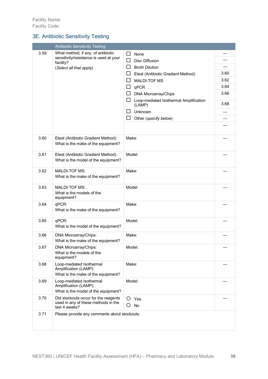#### 3E. Antibiotic Sensitivity Testing

|      | <b>Antibiotic Sensitivity Testing</b>                                                        |                                                       |      |
|------|----------------------------------------------------------------------------------------------|-------------------------------------------------------|------|
| 3.59 | What method, if any, of antibiotic                                                           | $\sqcup$<br>None                                      |      |
|      | sensitivity/resistance is used at your<br>facility?                                          | ப<br><b>Disc Diffusion</b>                            |      |
|      | (Select all that apply)                                                                      | ΙI<br><b>Broth Dilution</b>                           |      |
|      |                                                                                              | ப<br>Etest (Antibiotic Gradient Method)               | 3.60 |
|      |                                                                                              | <b>MALDI-TOF MS</b><br>ΙI                             | 3.62 |
|      |                                                                                              | qPCR<br>ப                                             | 3.64 |
|      |                                                                                              | DNA Microarray/Chips<br>ப                             | 3.66 |
|      |                                                                                              | Loop-mediated Isothermal Amplification<br>ப<br>(LAMP) | 3.68 |
|      |                                                                                              | ΙI<br>Unknown                                         |      |
|      |                                                                                              | ப<br>Other (specify below)                            |      |
|      |                                                                                              |                                                       |      |
| 3.60 | Etest (Antibiotic Gradient Method):<br>What is the make of the equipment?                    | Make:                                                 |      |
| 3.61 | Etest (Antibiotic Gradient Method):<br>What is the model of the equipment?                   | Model:                                                |      |
| 3.62 | <b>MALDI-TOF MS:</b><br>What is the make of the equipment?                                   | Make:                                                 |      |
| 3.63 | <b>MALDI-TOF MS:</b><br>What is the models of the<br>equipment?                              | Model:                                                |      |
| 3.64 | qPCR:<br>What is the make of the equipment?                                                  | Make:                                                 |      |
| 3.65 | qPCR:<br>What is the model of the equipment?                                                 | Model:                                                |      |
| 3.66 | DNA Microarray/Chips:<br>What is the make of the equipment?                                  | Make:                                                 |      |
| 3.67 | DNA Microarray/Chips:<br>What is the models of the<br>equipment?                             | Model:                                                |      |
| 3.68 | Loop-mediated Isothermal<br>Amplification (LAMP):<br>What is the make of the equipment?      | Make:                                                 |      |
| 3.69 | Loop-mediated Isothermal<br>Amplification (LAMP):<br>What is the model of the equipment?     | Model:                                                |      |
| 3.70 | Did stockouts occur for the reagents<br>used in any of these methods in the<br>last 4 weeks? | O.<br>Yes<br>Ő<br>No                                  |      |
| 3.71 | Please provide any comments about stockouts:                                                 |                                                       |      |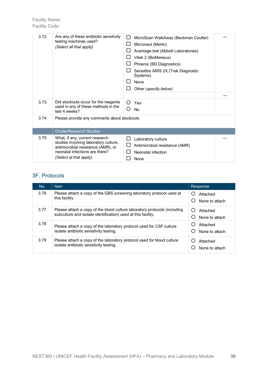| 3.72 | Are any of these antibiotic sensitivity<br>testing machines used?<br>(Select all that apply)                                                                              | MicroScan WalkAway (Beckman Coulter)<br>ΙI<br>Micronaut (Merlin)<br>Avantage test (Abbott Laboratories)<br>Vitek 2 (BioMerieux)<br>Phoenix (BD Diagnostics)<br>Sensititre ARIS 2X (Trek Diagnostic<br>Systems)<br><b>None</b><br>Other (specify below) |  |
|------|---------------------------------------------------------------------------------------------------------------------------------------------------------------------------|--------------------------------------------------------------------------------------------------------------------------------------------------------------------------------------------------------------------------------------------------------|--|
| 3.73 | Did stockouts occur for the reagents<br>used in any of these methods in the<br>last 4 weeks?                                                                              | $\left( \right)$<br>Yes<br>( )<br><b>No</b>                                                                                                                                                                                                            |  |
| 3.74 | Please provide any comments about stockouts:                                                                                                                              |                                                                                                                                                                                                                                                        |  |
|      | <b>Onsite/Research Studies</b>                                                                                                                                            |                                                                                                                                                                                                                                                        |  |
| 3.75 | What, if any, current research<br>studies involving laboratory culture,<br>antimicrobial resistance (AMR), or<br>neonatal infections are there?<br>(Select al that apply) | $\mathsf{L}$<br>Laboratory culture<br>Antimicrobial resistance (AMR)<br>Neonatal infection<br>None                                                                                                                                                     |  |

#### 3F. Protocols

| No.  | <b>Item</b>                                                                                                                                | Response                   |
|------|--------------------------------------------------------------------------------------------------------------------------------------------|----------------------------|
| 3.76 | Please attach a copy of the GBS screening laboratory protocol used at<br>this facility.                                                    | Attached<br>None to attach |
| 3.77 | Please attach a copy of the blood culture laboratory protocols (including<br>subculture and isolate identification) used at this facility. | Attached<br>None to attach |
| 3.78 | Please attach a copy of the laboratory protocol used for CSF culture<br>isolate antibiotic sensitivity testing.                            | Attached<br>None to attach |
| 3.79 | Please attach a copy of the laboratory protocol used for blood culture<br>isolate antibiotic sensitivity testing.                          | Attached<br>None to attach |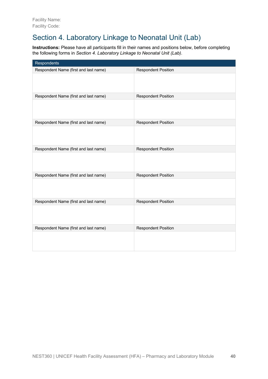# Section 4. Laboratory Linkage to Neonatal Unit (Lab)

**Instructions:** Please have all participants fill in their names and positions below, before completing the following forms in *Section 4. Laboratory Linkage to Neonatal Unit (Lab)*.

| Respondents                           |                            |
|---------------------------------------|----------------------------|
| Respondent Name (first and last name) | <b>Respondent Position</b> |
|                                       |                            |
| Respondent Name (first and last name) | <b>Respondent Position</b> |
|                                       |                            |
| Respondent Name (first and last name) | <b>Respondent Position</b> |
|                                       |                            |
| Respondent Name (first and last name) | <b>Respondent Position</b> |
|                                       |                            |
| Respondent Name (first and last name) | <b>Respondent Position</b> |
|                                       |                            |
| Respondent Name (first and last name) | <b>Respondent Position</b> |
|                                       |                            |
| Respondent Name (first and last name) | <b>Respondent Position</b> |
|                                       |                            |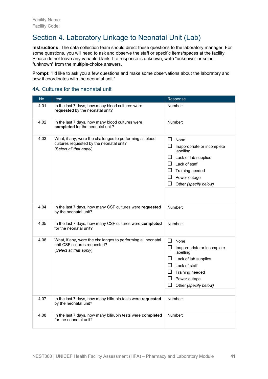# Section 4. Laboratory Linkage to Neonatal Unit (Lab)

**Instructions:** The data collection team should direct these questions to the laboratory manager. For some questions, you will need to ask and observe the staff or specific items/spaces at the facility. Please do not leave any variable blank. If a response is unknown, write "unknown" or select "unknown" from the multiple-choice answers.

**Prompt:** "I'd like to ask you a few questions and make some observations about the laboratory and how it coordinates with the neonatal unit."

#### 4A. Cultures for the neonatal unit

| No.  | Item                                                                                                                             | Response                                                                                                                                                                                                   |  |
|------|----------------------------------------------------------------------------------------------------------------------------------|------------------------------------------------------------------------------------------------------------------------------------------------------------------------------------------------------------|--|
| 4.01 | In the last 7 days, how many blood cultures were<br>requested by the neonatal unit?                                              | Number:                                                                                                                                                                                                    |  |
| 4.02 | In the last 7 days, how many blood cultures were<br>completed for the neonatal unit?                                             | Number:                                                                                                                                                                                                    |  |
| 4.03 | What, if any, were the challenges to performing all blood<br>cultures requested by the neonatal unit?<br>(Select all that apply) | $\Box$<br>None<br>$\Box$<br>Inappropriate or incomplete<br>labelling<br>$\Box$ Lack of lab supplies<br>$\Box$ Lack of staff<br>$\Box$ Training needed<br>$\Box$ Power outage<br>ப<br>Other (specify below) |  |
| 4.04 | In the last 7 days, how many CSF cultures were requested<br>by the neonatal unit?                                                | Number:                                                                                                                                                                                                    |  |
| 4.05 | In the last 7 days, how many CSF cultures were completed<br>for the neonatal unit?                                               | Number:                                                                                                                                                                                                    |  |
| 4.06 | What, if any, were the challenges to performing all neonatal<br>unit CSF cultures requested?<br>(Select all that apply)          | $\Box$ None<br>$\Box$ Inappropriate or incomplete<br>labelling<br>$\Box$ Lack of lab supplies<br>$\Box$ Lack of staff<br>$\Box$ Training needed<br>$\Box$ Power outage<br>$\Box$<br>Other (specify below)  |  |
| 4.07 | In the last 7 days, how many bilirubin tests were requested<br>by the neonatal unit?                                             | Number:                                                                                                                                                                                                    |  |
| 4.08 | In the last 7 days, how many bilirubin tests were completed<br>for the neonatal unit?                                            | Number:                                                                                                                                                                                                    |  |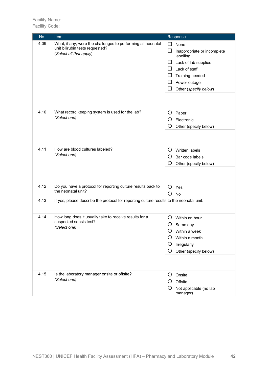| No.  | <u>Item</u>                                                                                                                | Response                                                                                                                                                                                           |
|------|----------------------------------------------------------------------------------------------------------------------------|----------------------------------------------------------------------------------------------------------------------------------------------------------------------------------------------------|
| 4.09 | What, if any, were the challenges to performing all neonatal<br>unit bilirubin tests requested?<br>(Select all that apply) | □<br>None<br>$\Box$<br>Inappropriate or incomplete<br>labelling<br>Lack of lab supplies<br>⊔<br>Lack of staff<br>⊔<br>ப<br>Training needed<br>$\Box$<br>Power outage<br>Other (specify below)<br>ப |
| 4.10 | What record keeping system is used for the lab?<br>(Select one)                                                            | O<br>Paper<br>O<br>Electronic<br>O<br>Other (specify below)                                                                                                                                        |
| 4.11 | How are blood cultures labeled?<br>(Select one)                                                                            | O<br>Written labels<br>$\circ$<br>Bar code labels<br>O<br>Other (specify below)                                                                                                                    |
| 4.12 | Do you have a protocol for reporting culture results back to<br>the neonatal unit?                                         | O<br>Yes<br>O<br>No                                                                                                                                                                                |
| 4.13 | If yes, please describe the protocol for reporting culture results to the neonatal unit:                                   |                                                                                                                                                                                                    |
| 4.14 | How long does it usually take to receive results for a<br>suspected sepsis test?<br>(Select one)                           | Ő<br>Within an hour<br>O<br>Same day<br>O<br>Within a week<br>Within a month<br>Ő<br>O<br>Irregularly<br>O<br>Other (specify below)                                                                |
| 4.15 | Is the laboratory manager onsite or offsite?<br>(Select one)                                                               | $\circ$<br>Onsite<br>Offsite<br>O<br>O<br>Not applicable (no lab<br>manager)                                                                                                                       |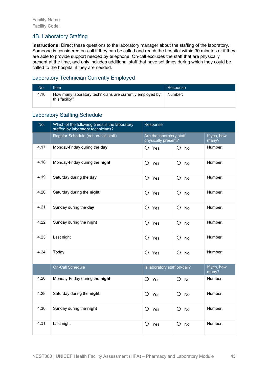#### 4B. Laboratory Staffing

**Instructions:** Direct these questions to the laboratory manager about the staffing of the laboratory. Someone is considered on-call if they can be called and reach the hospital within 30 minutes or if they are able to provide support needed by telephone. On-call excludes the staff that are physically present at the time, and only includes additional staff that have set times during which they could be called to the hospital if they are needed.

#### Laboratory Technician Currently Employed

| No.  | Item                                                                        | Response |
|------|-----------------------------------------------------------------------------|----------|
| 4.16 | How many laboratory technicians are currently employed by<br>this facility? | Number:  |

#### Laboratory Staffing Schedule

| No.  | Which of the following times is the laboratory<br>staffed by laboratory technicians? | Response                                        |                      |                      |
|------|--------------------------------------------------------------------------------------|-------------------------------------------------|----------------------|----------------------|
|      | Regular Schedule (not on-call staff)                                                 | Are the laboratory staff<br>physically present? |                      | If yes, how<br>many? |
| 4.17 | Monday-Friday during the day                                                         | $O$ Yes                                         | $O$ No               | Number:              |
| 4.18 | Monday-Friday during the night                                                       | O<br>Yes                                        | O<br><b>No</b>       | Number:              |
| 4.19 | Saturday during the day                                                              | $O$ Yes                                         | O<br><b>No</b>       | Number:              |
| 4.20 | Saturday during the night                                                            | $O$ Yes                                         | O<br>No              | Number:              |
| 4.21 | Sunday during the day                                                                | O Yes                                           | O<br>No              | Number:              |
| 4.22 | Sunday during the night                                                              | O Yes                                           | O<br><b>No</b>       | Number:              |
| 4.23 | Last night                                                                           | $\circ$<br>Yes                                  | $\circ$<br><b>No</b> | Number:              |
| 4.24 | Today                                                                                | $\circ$<br>Yes                                  | O<br><b>No</b>       | Number:              |
|      | <b>On-Call Schedule</b>                                                              | Is laboratory staff on-call?                    |                      | If yes, how<br>many? |
| 4.26 | Monday-Friday during the night                                                       | O Yes                                           | O<br><b>No</b>       | Number:              |
| 4.28 | Saturday during the night                                                            | O<br>Yes                                        | O<br><b>No</b>       | Number:              |
| 4.30 | Sunday during the night                                                              | O Yes                                           | $\circ$<br><b>No</b> | Number:              |
| 4.31 | Last night                                                                           | $\circ$<br>Yes                                  | O<br><b>No</b>       | Number:              |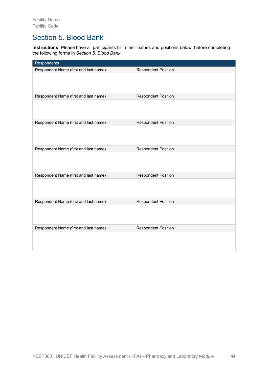## Section 5. Blood Bank

**Instructions:** Please have all participants fill in their names and positions below, before completing the following forms in *Section 5. Blood Bank*.

| <b>Respondents</b>                    |                            |
|---------------------------------------|----------------------------|
| Respondent Name (first and last name) | <b>Respondent Position</b> |
|                                       |                            |
| Respondent Name (first and last name) | <b>Respondent Position</b> |
|                                       |                            |
| Respondent Name (first and last name) | <b>Respondent Position</b> |
|                                       |                            |
| Respondent Name (first and last name) | <b>Respondent Position</b> |
|                                       |                            |
| Respondent Name (first and last name) | <b>Respondent Position</b> |
|                                       |                            |
| Respondent Name (first and last name) | <b>Respondent Position</b> |
|                                       |                            |
| Respondent Name (first and last name) | <b>Respondent Position</b> |
|                                       |                            |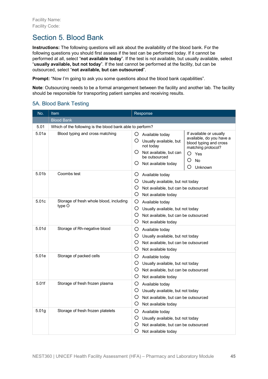# Section 5. Blood Bank

**Instructions:** The following questions will ask about the availability of the blood bank. For the following questions you should first assess if the test can be performed today. If it cannot be performed at all, select "**not available today**". If the test is not available, but usually available, select "**usually available, but not today**". If the test cannot be performed at the facility, but can be outsourced, select "**not available, but can outsourced**".

**Prompt:** "Now I'm going to ask you some questions about the blood bank capabilities".

**Note**: Outsourcing needs to be a formal arrangement between the facility and another lab. The facility should be responsible for transporting patient samples and receiving results.

#### 5A. Blood Bank Testing

| No.               | Item                                                      | Response                                                                                                                                                                                                                                                                                           |
|-------------------|-----------------------------------------------------------|----------------------------------------------------------------------------------------------------------------------------------------------------------------------------------------------------------------------------------------------------------------------------------------------------|
|                   | <b>Blood Bank</b>                                         |                                                                                                                                                                                                                                                                                                    |
| 5.01              | Which of the following is the blood bank able to perform? |                                                                                                                                                                                                                                                                                                    |
| 5.01a             | Blood typing and cross matching                           | If available or usually<br>O<br>Available today<br>available, do you have a<br>O<br>Usually available, but<br>blood typing and cross<br>not today<br>matching protocol?<br>O.<br>Not available, but can<br>O<br>Yes<br>be outsourced<br>O<br><b>No</b><br>Ő<br>Not available today<br>O<br>Unknown |
| 5.01b             | Coombs test                                               | O.<br>Available today<br>O<br>Usually available, but not today<br>O<br>Not available, but can be outsourced<br>O<br>Not available today                                                                                                                                                            |
| 5.01c             | Storage of fresh whole blood, including<br>type O         | O<br>Available today<br>O.<br>Usually available, but not today<br>O<br>Not available, but can be outsourced<br>O<br>Not available today                                                                                                                                                            |
| 5.01d             | Storage of Rh-negative blood                              | O<br>Available today<br>O<br>Usually available, but not today<br>O<br>Not available, but can be outsourced<br>O<br>Not available today                                                                                                                                                             |
| 5.01e             | Storage of packed cells                                   | O<br>Available today<br>O.<br>Usually available, but not today<br>O<br>Not available, but can be outsourced<br>O<br>Not available today                                                                                                                                                            |
| 5.01f             | Storage of fresh frozen plasma                            | O<br>Available today<br>O<br>Usually available, but not today<br>O<br>Not available, but can be outsourced<br>O<br>Not available today                                                                                                                                                             |
| 5.01 <sub>g</sub> | Storage of fresh frozen platelets                         | O<br>Available today<br>O<br>Usually available, but not today<br>O<br>Not available, but can be outsourced<br>O<br>Not available today                                                                                                                                                             |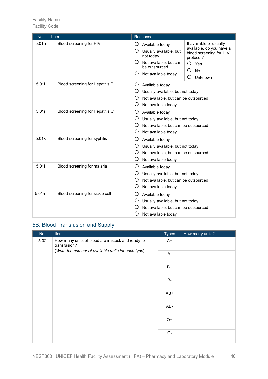Facility Code:

| No.   | <b>Item</b>                     | Response                                                                                                                                                                                                                                                                                    |
|-------|---------------------------------|---------------------------------------------------------------------------------------------------------------------------------------------------------------------------------------------------------------------------------------------------------------------------------------------|
| 5.01h | Blood screening for HIV         | If available or usually<br>O<br>Available today<br>available, do you have a<br>O<br>Usually available, but<br>blood screening for HIV<br>not today<br>protocol?<br>O<br>Not available, but can<br>∩<br>Yes<br>be outsourced<br><b>No</b><br>O<br>O<br>Not available today<br>Unknown<br>( ) |
| 5.01i | Blood screening for Hepatitis B | O<br>Available today<br>O<br>Usually available, but not today<br>O<br>Not available, but can be outsourced<br>O<br>Not available today                                                                                                                                                      |
| 5.01j | Blood screening for Hepatitis C | O<br>Available today<br>O<br>Usually available, but not today<br>O<br>Not available, but can be outsourced<br>O<br>Not available today                                                                                                                                                      |
| 5.01k | Blood screening for syphilis    | O<br>Available today<br>O<br>Usually available, but not today<br>O<br>Not available, but can be outsourced<br>O<br>Not available today                                                                                                                                                      |
| 5.011 | Blood screening for malaria     | O<br>Available today<br>O<br>Usually available, but not today<br>O<br>Not available, but can be outsourced<br>O<br>Not available today                                                                                                                                                      |
| 5.01m | Blood screening for sickle cell | O<br>Available today<br>O<br>Usually available, but not today<br>O<br>Not available, but can be outsourced<br>O<br>Not available today                                                                                                                                                      |

### 5B. Blood Transfusion and Supply

| No.  | Item                                                                                                                      | <b>Types</b>         | How many units? |
|------|---------------------------------------------------------------------------------------------------------------------------|----------------------|-----------------|
| 5.02 | How many units of blood are in stock and ready for<br>transfusion?<br>(Write the number of available units for each type) | $A+$                 |                 |
|      |                                                                                                                           | A-                   |                 |
|      |                                                                                                                           | $B+$                 |                 |
|      |                                                                                                                           | <b>B-</b>            |                 |
|      |                                                                                                                           | AB+                  |                 |
|      |                                                                                                                           | AB-                  |                 |
|      |                                                                                                                           | $O+$                 |                 |
|      |                                                                                                                           | $\mathsf{O}\text{-}$ |                 |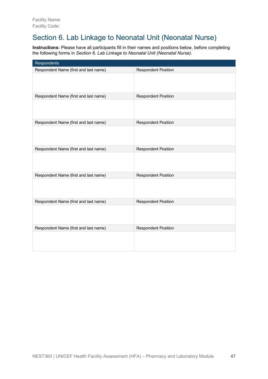# Section 6. Lab Linkage to Neonatal Unit (Neonatal Nurse)

**Instructions:** Please have all participants fill in their names and positions below, before completing the following forms in *Section 6. Lab Linkage to Neonatal Unit (Neonatal Nurse)*.

| Respondents                           |                            |
|---------------------------------------|----------------------------|
| Respondent Name (first and last name) | <b>Respondent Position</b> |
|                                       |                            |
| Respondent Name (first and last name) | <b>Respondent Position</b> |
|                                       |                            |
| Respondent Name (first and last name) | <b>Respondent Position</b> |
|                                       |                            |
| Respondent Name (first and last name) | <b>Respondent Position</b> |
|                                       |                            |
| Respondent Name (first and last name) | <b>Respondent Position</b> |
|                                       |                            |
| Respondent Name (first and last name) | <b>Respondent Position</b> |
|                                       |                            |
| Respondent Name (first and last name) | <b>Respondent Position</b> |
|                                       |                            |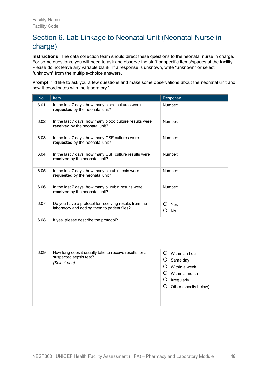# Section 6. Lab Linkage to Neonatal Unit (Neonatal Nurse in charge)

**Instructions:** The data collection team should direct these questions to the neonatal nurse in charge. For some questions, you will need to ask and observe the staff or specific items/spaces at the facility. Please do not leave any variable blank. If a response is unknown, write "unknown" or select "unknown" from the multiple-choice answers.

**Prompt**: "I'd like to ask you a few questions and make some observations about the neonatal unit and how it coordinates with the laboratory."

| No.  | Item                                                                                                  | Response                                                                                                                                       |
|------|-------------------------------------------------------------------------------------------------------|------------------------------------------------------------------------------------------------------------------------------------------------|
| 6.01 | In the last 7 days, how many blood cultures were<br>requested by the neonatal unit?                   | Number:                                                                                                                                        |
| 6.02 | In the last 7 days, how many blood culture results were<br>received by the neonatal unit?             | Number:                                                                                                                                        |
| 6.03 | In the last 7 days, how many CSF cultures were<br>requested by the neonatal unit?                     | Number:                                                                                                                                        |
| 6.04 | In the last 7 days, how many CSF culture results were<br>received by the neonatal unit?               | Number:                                                                                                                                        |
| 6.05 | In the last 7 days, how many bilirubin tests were<br>requested by the neonatal unit?                  | Number:                                                                                                                                        |
| 6.06 | In the last 7 days, how many bilirubin results were<br>received by the neonatal unit?                 | Number:                                                                                                                                        |
| 6.07 | Do you have a protocol for receiving results from the<br>laboratory and adding them to patient files? | O<br>Yes<br>$O$ No                                                                                                                             |
| 6.08 | If yes, please describe the protocol?                                                                 |                                                                                                                                                |
| 6.09 | How long does it usually take to receive results for a<br>suspected sepsis test?<br>(Select one)      | $O$ Within an hour<br>$\circ$<br>Same day<br>$\Omega$<br>Within a week<br>$O$ Within a month<br>O<br>Irregularly<br>O<br>Other (specify below) |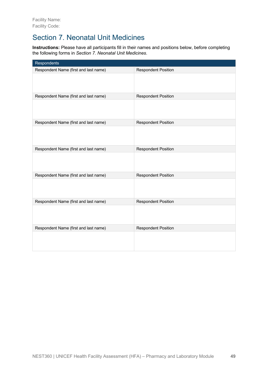# Section 7. Neonatal Unit Medicines

**Instructions:** Please have all participants fill in their names and positions below, before completing the following forms in *Section 7. Neonatal Unit Medicines*.

| Respondents                           |                            |
|---------------------------------------|----------------------------|
| Respondent Name (first and last name) | <b>Respondent Position</b> |
|                                       |                            |
| Respondent Name (first and last name) | <b>Respondent Position</b> |
|                                       |                            |
| Respondent Name (first and last name) | <b>Respondent Position</b> |
|                                       |                            |
| Respondent Name (first and last name) | <b>Respondent Position</b> |
|                                       |                            |
| Respondent Name (first and last name) | <b>Respondent Position</b> |
|                                       |                            |
| Respondent Name (first and last name) | <b>Respondent Position</b> |
|                                       |                            |
| Respondent Name (first and last name) | <b>Respondent Position</b> |
|                                       |                            |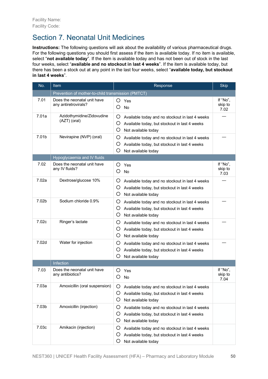# Section 7. Neonatal Unit Medicines

**Instructions:** The following questions will ask about the availability of various pharmaceutical drugs. For the following questions you should first assess if the item is available today. If no item is available, select "**not available today**". If the item is available today and has not been out of stock in the last four weeks, select "**available and no stockout in last 4 weeks**". If the item is available today, but there has been a stock out at any point in the last four weeks, select "**available today, but stockout in last 4 weeks**".

| No.               | Item                                                | Response                                                                                                                               | <b>Skip</b>                 |
|-------------------|-----------------------------------------------------|----------------------------------------------------------------------------------------------------------------------------------------|-----------------------------|
|                   | Prevention of mother-to-child transmission (PMTCT)  |                                                                                                                                        |                             |
| 7.01              | Does the neonatal unit have<br>any antiretrovirals? | O Yes<br>Ο<br><b>No</b>                                                                                                                | If "No",<br>skip to<br>7.02 |
| 7.01a             | Azidothymidine/Zidovudine<br>(AZT) (oral)           | O<br>Available today and no stockout in last 4 weeks<br>O<br>Available today, but stockout in last 4 weeks<br>O<br>Not available today |                             |
| 7.01b             | Nevirapine (NVP) (oral)                             | Ő<br>Available today and no stockout in last 4 weeks<br>Ő<br>Available today, but stockout in last 4 weeks<br>Ő<br>Not available today |                             |
|                   | Hypoglycaemia and IV fluids                         |                                                                                                                                        |                             |
| 7.02              | Does the neonatal unit have<br>any IV fluids?       | Ő<br>Yes<br>O<br><b>No</b>                                                                                                             | If "No",<br>skip to<br>7.03 |
| 7.02a             | Dextrose/glucose 10%                                | O<br>Available today and no stockout in last 4 weeks<br>Ő<br>Available today, but stockout in last 4 weeks<br>O<br>Not available today |                             |
| 7.02b             | Sodium chloride 0.9%                                | O<br>Available today and no stockout in last 4 weeks<br>Ő<br>Available today, but stockout in last 4 weeks<br>O<br>Not available today |                             |
| 7.02c             | Ringer's lactate                                    | Ő<br>Available today and no stockout in last 4 weeks<br>Ő<br>Available today, but stockout in last 4 weeks<br>O<br>Not available today |                             |
| 7.02 <sub>d</sub> | Water for injection                                 | O<br>Available today and no stockout in last 4 weeks<br>O<br>Available today, but stockout in last 4 weeks<br>Ő<br>Not available today |                             |
|                   | Infection                                           |                                                                                                                                        |                             |
| 7.03              | Does the neonatal unit have<br>any antibiotics?     | ( )<br>Yes<br><b>No</b>                                                                                                                | If "No",<br>skip to<br>7.04 |
| 7.03a             | Amoxicillin (oral suspension)                       | Ő<br>Available today and no stockout in last 4 weeks<br>O<br>Available today, but stockout in last 4 weeks<br>O<br>Not available today |                             |
| 7.03b             | Amoxicillin (injection)                             | Ő<br>Available today and no stockout in last 4 weeks<br>O<br>Available today, but stockout in last 4 weeks<br>O<br>Not available today |                             |
| 7.03c             | Amikacin (injection)                                | O<br>Available today and no stockout in last 4 weeks<br>Ő<br>Available today, but stockout in last 4 weeks<br>Ő<br>Not available today |                             |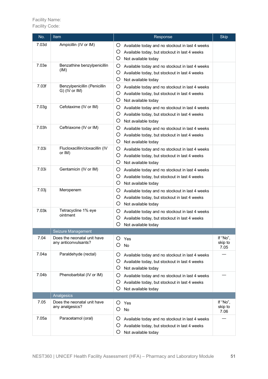| No.   | Item                                                | Response                                                                                                                               | <b>Skip</b>                 |
|-------|-----------------------------------------------------|----------------------------------------------------------------------------------------------------------------------------------------|-----------------------------|
| 7.03d | Ampicillin (IV or IM)                               | Ő<br>Available today and no stockout in last 4 weeks<br>Ő<br>Available today, but stockout in last 4 weeks<br>O<br>Not available today |                             |
| 7.03e | Benzathine benzylpenicillin<br>(IM)                 | O<br>Available today and no stockout in last 4 weeks<br>Ő<br>Available today, but stockout in last 4 weeks<br>O<br>Not available today |                             |
| 7.03f | Benzylpenicillin (Penicillin<br>G) (IV or IM)       | O<br>Available today and no stockout in last 4 weeks<br>O<br>Available today, but stockout in last 4 weeks<br>O<br>Not available today |                             |
| 7.03g | Cefotaxime (IV or IM)                               | Ő<br>Available today and no stockout in last 4 weeks<br>Ő<br>Available today, but stockout in last 4 weeks<br>O<br>Not available today |                             |
| 7.03h | Ceftriaxone (IV or IM)                              | Ő<br>Available today and no stockout in last 4 weeks<br>Ő<br>Available today, but stockout in last 4 weeks<br>O<br>Not available today |                             |
| 7.03i | Flucloxacillin/cloxacillin (IV<br>or IM)            | Ő<br>Available today and no stockout in last 4 weeks<br>O<br>Available today, but stockout in last 4 weeks<br>O<br>Not available today |                             |
| 7.03i | Gentamicin (IV or IM)                               | Ő<br>Available today and no stockout in last 4 weeks<br>Ő<br>Available today, but stockout in last 4 weeks<br>O<br>Not available today |                             |
| 7.03j | Meropenem                                           | O<br>Available today and no stockout in last 4 weeks<br>Ő<br>Available today, but stockout in last 4 weeks<br>Ő<br>Not available today |                             |
| 7.03k | Tetracycline 1% eye<br>ointment                     | Ő<br>Available today and no stockout in last 4 weeks<br>Ő<br>Available today, but stockout in last 4 weeks<br>O<br>Not available today |                             |
|       | Seizure Management                                  |                                                                                                                                        |                             |
| 7.04  | Does the neonatal unit have<br>any anticonvulsants? | Ő<br>Yes<br>No<br>Ö                                                                                                                    | If "No",<br>skip to<br>7.05 |
| 7.04a | Paraldehyde (rectal)                                | Ő<br>Available today and no stockout in last 4 weeks<br>Ő<br>Available today, but stockout in last 4 weeks<br>Ő<br>Not available today |                             |
| 7.04b | Phenobarbital (IV or IM)                            | Ő<br>Available today and no stockout in last 4 weeks<br>Ő<br>Available today, but stockout in last 4 weeks<br>O<br>Not available today |                             |
|       | Analgesics                                          |                                                                                                                                        |                             |
| 7.05  | Does the neonatal unit have<br>any analgesics?      | O<br>Yes<br>O<br>No                                                                                                                    | If "No",<br>skip to<br>7.06 |
| 7.05a | Paracetamol (oral)                                  | O<br>Available today and no stockout in last 4 weeks<br>Ő<br>Available today, but stockout in last 4 weeks<br>O<br>Not available today |                             |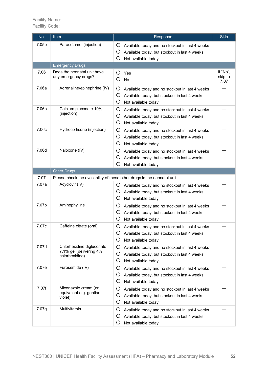| No.   | Item                                                                   | Response                                                                                                                               | <b>Skip</b>                 |
|-------|------------------------------------------------------------------------|----------------------------------------------------------------------------------------------------------------------------------------|-----------------------------|
| 7.05b | Paracetamol (injection)                                                | O<br>Available today and no stockout in last 4 weeks<br>Ő<br>Available today, but stockout in last 4 weeks<br>O<br>Not available today |                             |
|       | <b>Emergency Drugs</b>                                                 |                                                                                                                                        |                             |
| 7.06  | Does the neonatal unit have<br>any emergency drugs?                    | O<br>Yes<br>O<br>No                                                                                                                    | If "No",<br>skip to<br>7.07 |
| 7.06a | Adrenaline/epinephrine (IV)                                            | O<br>Available today and no stockout in last 4 weeks<br>O<br>Available today, but stockout in last 4 weeks<br>O<br>Not available today |                             |
| 7.06b | Calcium gluconate 10%<br>(injection)                                   | O<br>Available today and no stockout in last 4 weeks<br>Ő<br>Available today, but stockout in last 4 weeks<br>O<br>Not available today |                             |
| 7.06c | Hydrocortisone (injection)                                             | O<br>Available today and no stockout in last 4 weeks<br>Ő<br>Available today, but stockout in last 4 weeks<br>O<br>Not available today |                             |
| 7.06d | Naloxone (IV)                                                          | O<br>Available today and no stockout in last 4 weeks<br>O<br>Available today, but stockout in last 4 weeks<br>O<br>Not available today |                             |
|       | <b>Other Drugs</b>                                                     |                                                                                                                                        |                             |
| 7.07  |                                                                        | Please check the availability of these other drugs in the neonatal unit.                                                               |                             |
| 7.07a | Acyclovir (IV)                                                         | Available today and no stockout in last 4 weeks<br>Ő<br>Ő<br>Available today, but stockout in last 4 weeks<br>O<br>Not available today |                             |
| 7.07b | Aminophylline                                                          | Ő<br>Available today and no stockout in last 4 weeks<br>Ő<br>Available today, but stockout in last 4 weeks<br>Ő<br>Not available today |                             |
| 7.07c | Caffeine citrate (oral)                                                | Ő<br>Available today and no stockout in last 4 weeks<br>O<br>Available today, but stockout in last 4 weeks<br>O<br>Not available today |                             |
| 7.07d | Chlorhexidine digluconate<br>7.1% gel (delivering 4%<br>chlorhexidine) | Ő<br>Available today and no stockout in last 4 weeks<br>Ő<br>Available today, but stockout in last 4 weeks<br>Ő<br>Not available today |                             |
| 7.07e | Furosemide (IV)                                                        | O<br>Available today and no stockout in last 4 weeks<br>Ő<br>Available today, but stockout in last 4 weeks<br>Ő<br>Not available today |                             |
| 7.07f | Miconazole cream (or<br>equivalent e.g. gentian<br>violet)             | O<br>Available today and no stockout in last 4 weeks<br>O<br>Available today, but stockout in last 4 weeks<br>O<br>Not available today |                             |
| 7.07g | Multivitamin                                                           | Ő<br>Available today and no stockout in last 4 weeks<br>Ő<br>Available today, but stockout in last 4 weeks<br>Ő<br>Not available today |                             |